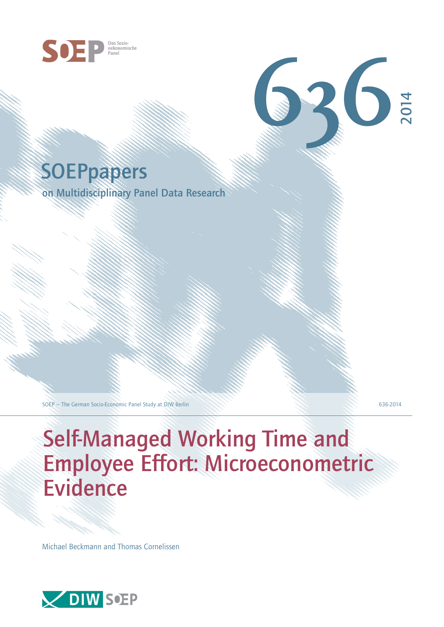

# **SOEPpapers**

on Multidisciplinary Panel Data Research

SOEP – The German Socio-Economic Panel Study at DIW Berlin 636-2014

2014

**636**

# Self-Managed Working Time and Employee Effort: Microeconometric Evidence

Michael Beckmann and Thomas Cornelissen

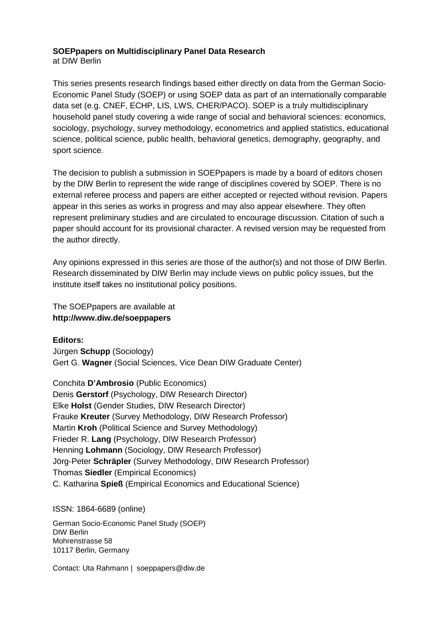## **SOEPpapers on Multidisciplinary Panel Data Research**  at DIW Berlin

This series presents research findings based either directly on data from the German Socio-Economic Panel Study (SOEP) or using SOEP data as part of an internationally comparable data set (e.g. CNEF, ECHP, LIS, LWS, CHER/PACO). SOEP is a truly multidisciplinary household panel study covering a wide range of social and behavioral sciences: economics, sociology, psychology, survey methodology, econometrics and applied statistics, educational science, political science, public health, behavioral genetics, demography, geography, and sport science.

The decision to publish a submission in SOEPpapers is made by a board of editors chosen by the DIW Berlin to represent the wide range of disciplines covered by SOEP. There is no external referee process and papers are either accepted or rejected without revision. Papers appear in this series as works in progress and may also appear elsewhere. They often represent preliminary studies and are circulated to encourage discussion. Citation of such a paper should account for its provisional character. A revised version may be requested from the author directly.

Any opinions expressed in this series are those of the author(s) and not those of DIW Berlin. Research disseminated by DIW Berlin may include views on public policy issues, but the institute itself takes no institutional policy positions.

The SOEPpapers are available at **http://www.diw.de/soeppapers**

**Editors:** 

Jürgen **Schupp** (Sociology) Gert G. **Wagner** (Social Sciences, Vice Dean DIW Graduate Center)

Conchita **D'Ambrosio** (Public Economics) Denis **Gerstorf** (Psychology, DIW Research Director) Elke **Holst** (Gender Studies, DIW Research Director) Frauke **Kreuter** (Survey Methodology, DIW Research Professor) Martin **Kroh** (Political Science and Survey Methodology) Frieder R. **Lang** (Psychology, DIW Research Professor) Henning **Lohmann** (Sociology, DIW Research Professor) Jörg-Peter **Schräpler** (Survey Methodology, DIW Research Professor) Thomas **Siedler** (Empirical Economics) C. Katharina **Spieß** (Empirical Economics and Educational Science)

ISSN: 1864-6689 (online)

German Socio-Economic Panel Study (SOEP) DIW Berlin Mohrenstrasse 58 10117 Berlin, Germany

Contact: Uta Rahmann | soeppapers@diw.de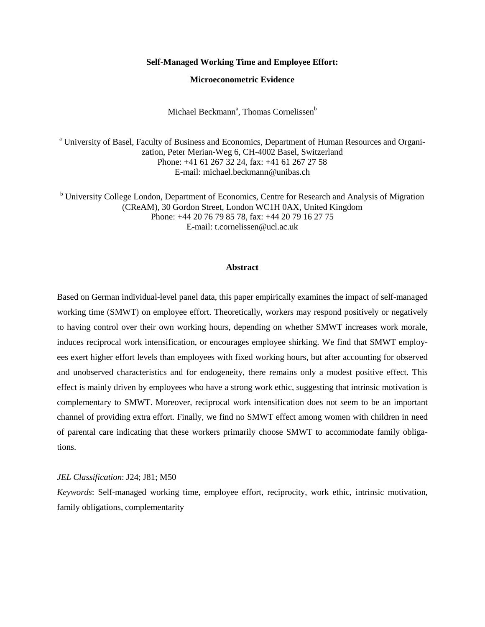#### **Self-Managed Working Time and Employee Effort:**

### **Microeconometric Evidence**

Michael Beckmann<sup>a</sup>, Thomas Cornelissen<sup>b</sup>

<sup>a</sup> University of Basel, Faculty of Business and Economics, Department of Human Resources and Organization, Peter Merian-Weg 6, CH-4002 Basel, Switzerland Phone: +41 61 267 32 24, fax: +41 61 267 27 58 E-mail: michael.beckmann@unibas.ch

<sup>b</sup> University College London, Department of Economics, Centre for Research and Analysis of Migration (CReAM), 30 Gordon Street, London WC1H 0AX, United Kingdom Phone: +44 20 76 79 85 78, fax: +44 20 79 16 27 75 E-mail: t.cornelissen@ucl.ac.uk

#### **Abstract**

Based on German individual-level panel data, this paper empirically examines the impact of self-managed working time (SMWT) on employee effort. Theoretically, workers may respond positively or negatively to having control over their own working hours, depending on whether SMWT increases work morale, induces reciprocal work intensification, or encourages employee shirking. We find that SMWT employees exert higher effort levels than employees with fixed working hours, but after accounting for observed and unobserved characteristics and for endogeneity, there remains only a modest positive effect. This effect is mainly driven by employees who have a strong work ethic, suggesting that intrinsic motivation is complementary to SMWT. Moreover, reciprocal work intensification does not seem to be an important channel of providing extra effort. Finally, we find no SMWT effect among women with children in need of parental care indicating that these workers primarily choose SMWT to accommodate family obligations.

#### *JEL Classification*: J24; J81; M50

*Keywords*: Self-managed working time, employee effort, reciprocity, work ethic, intrinsic motivation, family obligations, complementarity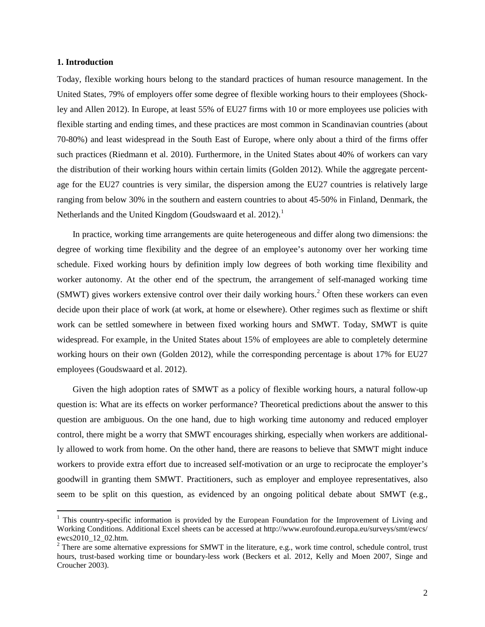#### **1. Introduction**

 $\overline{a}$ 

Today, flexible working hours belong to the standard practices of human resource management. In the United States, 79% of employers offer some degree of flexible working hours to their employees (Shockley and Allen 2012). In Europe, at least 55% of EU27 firms with 10 or more employees use policies with flexible starting and ending times, and these practices are most common in Scandinavian countries (about 70-80%) and least widespread in the South East of Europe, where only about a third of the firms offer such practices (Riedmann et al. 2010). Furthermore, in the United States about 40% of workers can vary the distribution of their working hours within certain limits (Golden 2012). While the aggregate percentage for the EU27 countries is very similar, the dispersion among the EU27 countries is relatively large ranging from below 30% in the southern and eastern countries to about 45-50% in Finland, Denmark, the Netherlands and the United Kingdom (Goudswaard et al. 20[1](#page-3-0)2).<sup>1</sup>

In practice, working time arrangements are quite heterogeneous and differ along two dimensions: the degree of working time flexibility and the degree of an employee's autonomy over her working time schedule. Fixed working hours by definition imply low degrees of both working time flexibility and worker autonomy. At the other end of the spectrum, the arrangement of self-managed working time (SMWT) gives workers extensive control over their daily working hours. [2](#page-3-1) Often these workers can even decide upon their place of work (at work, at home or elsewhere). Other regimes such as flextime or shift work can be settled somewhere in between fixed working hours and SMWT. Today, SMWT is quite widespread. For example, in the United States about 15% of employees are able to completely determine working hours on their own (Golden 2012), while the corresponding percentage is about 17% for EU27 employees (Goudswaard et al. 2012).

Given the high adoption rates of SMWT as a policy of flexible working hours, a natural follow-up question is: What are its effects on worker performance? Theoretical predictions about the answer to this question are ambiguous. On the one hand, due to high working time autonomy and reduced employer control, there might be a worry that SMWT encourages shirking, especially when workers are additionally allowed to work from home. On the other hand, there are reasons to believe that SMWT might induce workers to provide extra effort due to increased self-motivation or an urge to reciprocate the employer's goodwill in granting them SMWT. Practitioners, such as employer and employee representatives, also seem to be split on this question, as evidenced by an ongoing political debate about SMWT (e.g.,

<span id="page-3-0"></span><sup>&</sup>lt;sup>1</sup> This country-specific information is provided by the European Foundation for the Improvement of Living and Working Conditions. Additional Excel sheets can be accessed at http://www.eurofound.europa.eu/surveys/smt/ewcs/ ewcs2010\_12\_02.htm.<br><sup>2</sup> There are some alternative expressions for SMWT in the literature, e.g., work time control, schedule control, trust

<span id="page-3-1"></span>hours, trust-based working time or boundary-less work (Beckers et al. 2012, Kelly and Moen 2007, Singe and Croucher 2003).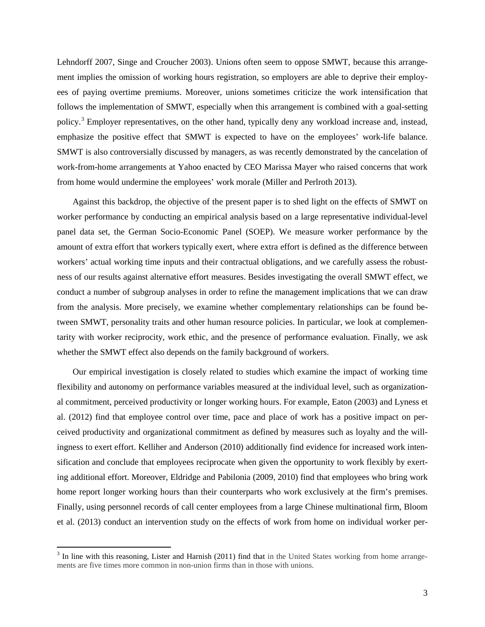Lehndorff 2007, Singe and Croucher 2003). Unions often seem to oppose SMWT, because this arrangement implies the omission of working hours registration, so employers are able to deprive their employees of paying overtime premiums. Moreover, unions sometimes criticize the work intensification that follows the implementation of SMWT, especially when this arrangement is combined with a goal-setting policy.<sup>[3](#page-4-0)</sup> Employer representatives, on the other hand, typically deny any workload increase and, instead, emphasize the positive effect that SMWT is expected to have on the employees' work-life balance. SMWT is also controversially discussed by managers, as was recently demonstrated by the cancelation of work-from-home arrangements at Yahoo enacted by CEO Marissa Mayer who raised concerns that work from home would undermine the employees' work morale (Miller and Perlroth 2013).

Against this backdrop, the objective of the present paper is to shed light on the effects of SMWT on worker performance by conducting an empirical analysis based on a large representative individual-level panel data set, the German Socio-Economic Panel (SOEP). We measure worker performance by the amount of extra effort that workers typically exert, where extra effort is defined as the difference between workers' actual working time inputs and their contractual obligations, and we carefully assess the robustness of our results against alternative effort measures. Besides investigating the overall SMWT effect, we conduct a number of subgroup analyses in order to refine the management implications that we can draw from the analysis. More precisely, we examine whether complementary relationships can be found between SMWT, personality traits and other human resource policies. In particular, we look at complementarity with worker reciprocity, work ethic, and the presence of performance evaluation. Finally, we ask whether the SMWT effect also depends on the family background of workers.

Our empirical investigation is closely related to studies which examine the impact of working time flexibility and autonomy on performance variables measured at the individual level, such as organizational commitment, perceived productivity or longer working hours. For example, Eaton (2003) and Lyness et al. (2012) find that employee control over time, pace and place of work has a positive impact on perceived productivity and organizational commitment as defined by measures such as loyalty and the willingness to exert effort. Kelliher and Anderson (2010) additionally find evidence for increased work intensification and conclude that employees reciprocate when given the opportunity to work flexibly by exerting additional effort. Moreover, Eldridge and Pabilonia (2009, 2010) find that employees who bring work home report longer working hours than their counterparts who work exclusively at the firm's premises. Finally, using personnel records of call center employees from a large Chinese multinational firm, Bloom et al. (2013) conduct an intervention study on the effects of work from home on individual worker per-

<span id="page-4-0"></span> $3$  In line with this reasoning, Lister and Harnish (2011) find that in the United States working from home arrangements are five times more common in non-union firms than in those with unions.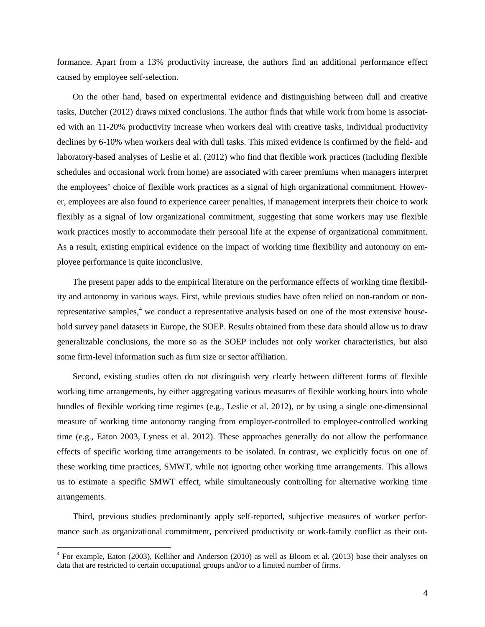formance. Apart from a 13% productivity increase, the authors find an additional performance effect caused by employee self-selection.

On the other hand, based on experimental evidence and distinguishing between dull and creative tasks, Dutcher (2012) draws mixed conclusions. The author finds that while work from home is associated with an 11-20% productivity increase when workers deal with creative tasks, individual productivity declines by 6-10% when workers deal with dull tasks. This mixed evidence is confirmed by the field- and laboratory-based analyses of Leslie et al. (2012) who find that flexible work practices (including flexible schedules and occasional work from home) are associated with career premiums when managers interpret the employees' choice of flexible work practices as a signal of high organizational commitment. However, employees are also found to experience career penalties, if management interprets their choice to work flexibly as a signal of low organizational commitment, suggesting that some workers may use flexible work practices mostly to accommodate their personal life at the expense of organizational commitment. As a result, existing empirical evidence on the impact of working time flexibility and autonomy on employee performance is quite inconclusive.

The present paper adds to the empirical literature on the performance effects of working time flexibility and autonomy in various ways. First, while previous studies have often relied on non-random or non-representative samples,<sup>[4](#page-5-0)</sup> we conduct a representative analysis based on one of the most extensive household survey panel datasets in Europe, the SOEP. Results obtained from these data should allow us to draw generalizable conclusions, the more so as the SOEP includes not only worker characteristics, but also some firm-level information such as firm size or sector affiliation.

Second, existing studies often do not distinguish very clearly between different forms of flexible working time arrangements, by either aggregating various measures of flexible working hours into whole bundles of flexible working time regimes (e.g., Leslie et al. 2012), or by using a single one-dimensional measure of working time autonomy ranging from employer-controlled to employee-controlled working time (e.g., Eaton 2003, Lyness et al. 2012). These approaches generally do not allow the performance effects of specific working time arrangements to be isolated. In contrast, we explicitly focus on one of these working time practices, SMWT, while not ignoring other working time arrangements. This allows us to estimate a specific SMWT effect, while simultaneously controlling for alternative working time arrangements.

Third, previous studies predominantly apply self-reported, subjective measures of worker performance such as organizational commitment, perceived productivity or work-family conflict as their out-

<span id="page-5-0"></span> $4$  For example, Eaton (2003), Kelliher and Anderson (2010) as well as Bloom et al. (2013) base their analyses on data that are restricted to certain occupational groups and/or to a limited number of firms.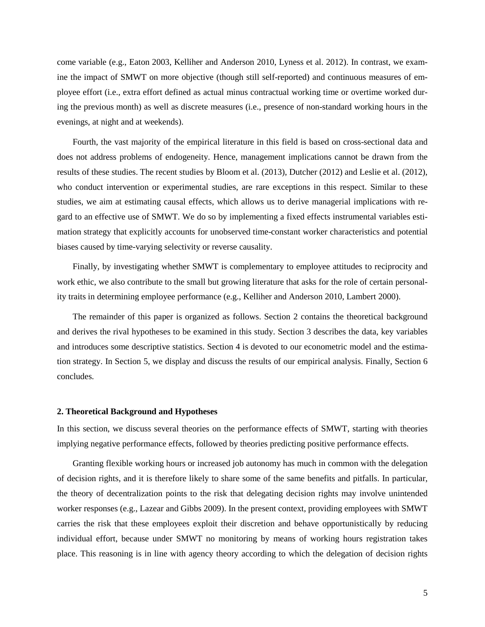come variable (e.g., Eaton 2003, Kelliher and Anderson 2010, Lyness et al. 2012). In contrast, we examine the impact of SMWT on more objective (though still self-reported) and continuous measures of employee effort (i.e., extra effort defined as actual minus contractual working time or overtime worked during the previous month) as well as discrete measures (i.e., presence of non-standard working hours in the evenings, at night and at weekends).

Fourth, the vast majority of the empirical literature in this field is based on cross-sectional data and does not address problems of endogeneity. Hence, management implications cannot be drawn from the results of these studies. The recent studies by Bloom et al. (2013), Dutcher (2012) and Leslie et al. (2012), who conduct intervention or experimental studies, are rare exceptions in this respect. Similar to these studies, we aim at estimating causal effects, which allows us to derive managerial implications with regard to an effective use of SMWT. We do so by implementing a fixed effects instrumental variables estimation strategy that explicitly accounts for unobserved time-constant worker characteristics and potential biases caused by time-varying selectivity or reverse causality.

Finally, by investigating whether SMWT is complementary to employee attitudes to reciprocity and work ethic, we also contribute to the small but growing literature that asks for the role of certain personality traits in determining employee performance (e.g., Kelliher and Anderson 2010, Lambert 2000).

The remainder of this paper is organized as follows. Section 2 contains the theoretical background and derives the rival hypotheses to be examined in this study. Section 3 describes the data, key variables and introduces some descriptive statistics. Section 4 is devoted to our econometric model and the estimation strategy. In Section 5, we display and discuss the results of our empirical analysis. Finally, Section 6 concludes.

#### **2. Theoretical Background and Hypotheses**

In this section, we discuss several theories on the performance effects of SMWT, starting with theories implying negative performance effects, followed by theories predicting positive performance effects.

Granting flexible working hours or increased job autonomy has much in common with the delegation of decision rights, and it is therefore likely to share some of the same benefits and pitfalls. In particular, the theory of decentralization points to the risk that delegating decision rights may involve unintended worker responses (e.g., Lazear and Gibbs 2009). In the present context, providing employees with SMWT carries the risk that these employees exploit their discretion and behave opportunistically by reducing individual effort, because under SMWT no monitoring by means of working hours registration takes place. This reasoning is in line with agency theory according to which the delegation of decision rights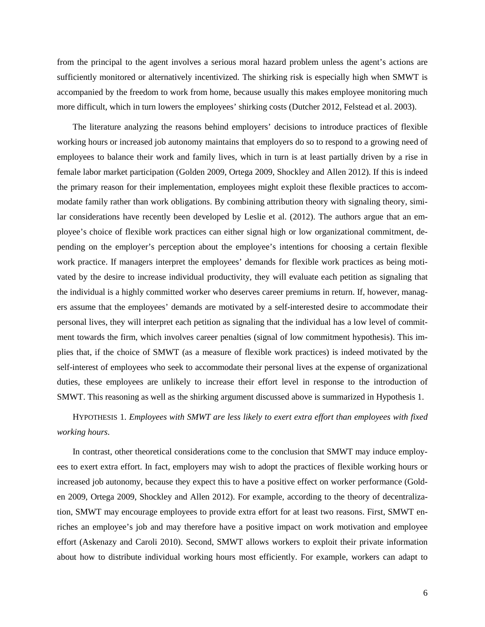from the principal to the agent involves a serious moral hazard problem unless the agent's actions are sufficiently monitored or alternatively incentivized. The shirking risk is especially high when SMWT is accompanied by the freedom to work from home, because usually this makes employee monitoring much more difficult, which in turn lowers the employees' shirking costs (Dutcher 2012, Felstead et al. 2003).

The literature analyzing the reasons behind employers' decisions to introduce practices of flexible working hours or increased job autonomy maintains that employers do so to respond to a growing need of employees to balance their work and family lives, which in turn is at least partially driven by a rise in female labor market participation (Golden 2009, Ortega 2009, Shockley and Allen 2012). If this is indeed the primary reason for their implementation, employees might exploit these flexible practices to accommodate family rather than work obligations. By combining attribution theory with signaling theory, similar considerations have recently been developed by Leslie et al. (2012). The authors argue that an employee's choice of flexible work practices can either signal high or low organizational commitment, depending on the employer's perception about the employee's intentions for choosing a certain flexible work practice. If managers interpret the employees' demands for flexible work practices as being motivated by the desire to increase individual productivity, they will evaluate each petition as signaling that the individual is a highly committed worker who deserves career premiums in return. If, however, managers assume that the employees' demands are motivated by a self-interested desire to accommodate their personal lives, they will interpret each petition as signaling that the individual has a low level of commitment towards the firm, which involves career penalties (signal of low commitment hypothesis). This implies that, if the choice of SMWT (as a measure of flexible work practices) is indeed motivated by the self-interest of employees who seek to accommodate their personal lives at the expense of organizational duties, these employees are unlikely to increase their effort level in response to the introduction of SMWT. This reasoning as well as the shirking argument discussed above is summarized in Hypothesis 1.

# HYPOTHESIS 1. *Employees with SMWT are less likely to exert extra effort than employees with fixed working hours*.

In contrast, other theoretical considerations come to the conclusion that SMWT may induce employees to exert extra effort. In fact, employers may wish to adopt the practices of flexible working hours or increased job autonomy, because they expect this to have a positive effect on worker performance (Golden 2009, Ortega 2009, Shockley and Allen 2012). For example, according to the theory of decentralization, SMWT may encourage employees to provide extra effort for at least two reasons. First, SMWT enriches an employee's job and may therefore have a positive impact on work motivation and employee effort (Askenazy and Caroli 2010). Second, SMWT allows workers to exploit their private information about how to distribute individual working hours most efficiently. For example, workers can adapt to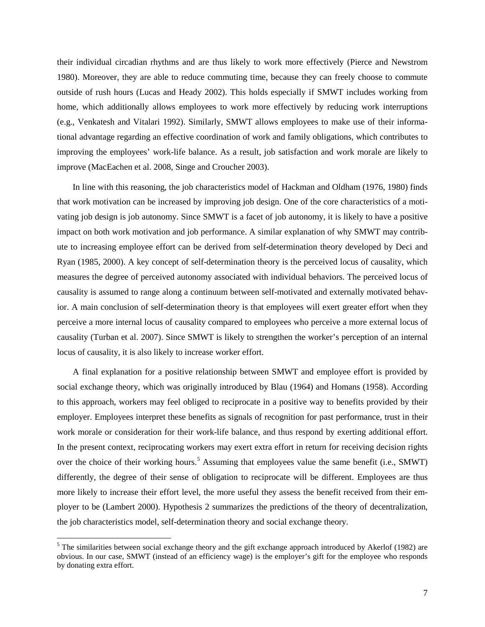their individual circadian rhythms and are thus likely to work more effectively (Pierce and Newstrom 1980). Moreover, they are able to reduce commuting time, because they can freely choose to commute outside of rush hours (Lucas and Heady 2002). This holds especially if SMWT includes working from home, which additionally allows employees to work more effectively by reducing work interruptions (e.g., Venkatesh and Vitalari 1992). Similarly, SMWT allows employees to make use of their informational advantage regarding an effective coordination of work and family obligations, which contributes to improving the employees' work-life balance. As a result, job satisfaction and work morale are likely to improve (MacEachen et al. 2008, Singe and Croucher 2003).

In line with this reasoning, the job characteristics model of Hackman and Oldham (1976, 1980) finds that work motivation can be increased by improving job design. One of the core characteristics of a motivating job design is job autonomy. Since SMWT is a facet of job autonomy, it is likely to have a positive impact on both work motivation and job performance. A similar explanation of why SMWT may contribute to increasing employee effort can be derived from self-determination theory developed by Deci and Ryan (1985, 2000). A key concept of self-determination theory is the perceived locus of causality, which measures the degree of perceived autonomy associated with individual behaviors. The perceived locus of causality is assumed to range along a continuum between self-motivated and externally motivated behavior. A main conclusion of self-determination theory is that employees will exert greater effort when they perceive a more internal locus of causality compared to employees who perceive a more external locus of causality (Turban et al. 2007). Since SMWT is likely to strengthen the worker's perception of an internal locus of causality, it is also likely to increase worker effort.

A final explanation for a positive relationship between SMWT and employee effort is provided by social exchange theory, which was originally introduced by Blau (1964) and Homans (1958). According to this approach, workers may feel obliged to reciprocate in a positive way to benefits provided by their employer. Employees interpret these benefits as signals of recognition for past performance, trust in their work morale or consideration for their work-life balance, and thus respond by exerting additional effort. In the present context, reciprocating workers may exert extra effort in return for receiving decision rights over the choice of their working hours.<sup>[5](#page-8-0)</sup> Assuming that employees value the same benefit (i.e., SMWT) differently, the degree of their sense of obligation to reciprocate will be different. Employees are thus more likely to increase their effort level, the more useful they assess the benefit received from their employer to be (Lambert 2000). Hypothesis 2 summarizes the predictions of the theory of decentralization, the job characteristics model, self-determination theory and social exchange theory.

<span id="page-8-0"></span> $5$  The similarities between social exchange theory and the gift exchange approach introduced by Akerlof (1982) are obvious. In our case, SMWT (instead of an efficiency wage) is the employer's gift for the employee who responds by donating extra effort.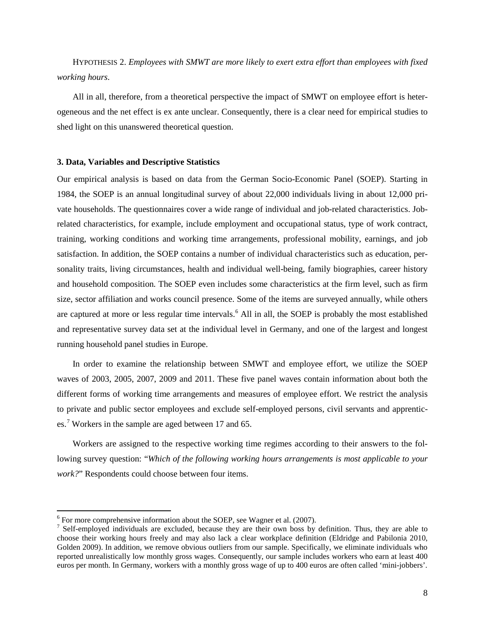HYPOTHESIS 2. *Employees with SMWT are more likely to exert extra effort than employees with fixed working hours*.

All in all, therefore, from a theoretical perspective the impact of SMWT on employee effort is heterogeneous and the net effect is ex ante unclear. Consequently, there is a clear need for empirical studies to shed light on this unanswered theoretical question.

#### **3. Data, Variables and Descriptive Statistics**

Our empirical analysis is based on data from the German Socio-Economic Panel (SOEP). Starting in 1984, the SOEP is an annual longitudinal survey of about 22,000 individuals living in about 12,000 private households. The questionnaires cover a wide range of individual and job-related characteristics. Jobrelated characteristics, for example, include employment and occupational status, type of work contract, training, working conditions and working time arrangements, professional mobility, earnings, and job satisfaction. In addition, the SOEP contains a number of individual characteristics such as education, personality traits, living circumstances, health and individual well-being, family biographies, career history and household composition. The SOEP even includes some characteristics at the firm level, such as firm size, sector affiliation and works council presence. Some of the items are surveyed annually, while others are captured at more or less regular time intervals.<sup>[6](#page-9-0)</sup> All in all, the SOEP is probably the most established and representative survey data set at the individual level in Germany, and one of the largest and longest running household panel studies in Europe.

In order to examine the relationship between SMWT and employee effort, we utilize the SOEP waves of 2003, 2005, 2007, 2009 and 2011. These five panel waves contain information about both the different forms of working time arrangements and measures of employee effort. We restrict the analysis to private and public sector employees and exclude self-employed persons, civil servants and apprentices.[7](#page-9-1) Workers in the sample are aged between 17 and 65.

Workers are assigned to the respective working time regimes according to their answers to the following survey question: "*Which of the following working hours arrangements is most applicable to your work?*" Respondents could choose between four items.

<span id="page-9-0"></span> $6$  For more comprehensive information about the SOEP, see Wagner et al. (2007).

<span id="page-9-1"></span> $\frac{1}{2}$  Self-employed individuals are excluded, because they are their own boss by definition. Thus, they are able to choose their working hours freely and may also lack a clear workplace definition (Eldridge and Pabilonia 2010, Golden 2009). In addition, we remove obvious outliers from our sample. Specifically, we eliminate individuals who reported unrealistically low monthly gross wages. Consequently, our sample includes workers who earn at least 400 euros per month. In Germany, workers with a monthly gross wage of up to 400 euros are often called 'mini-jobbers'.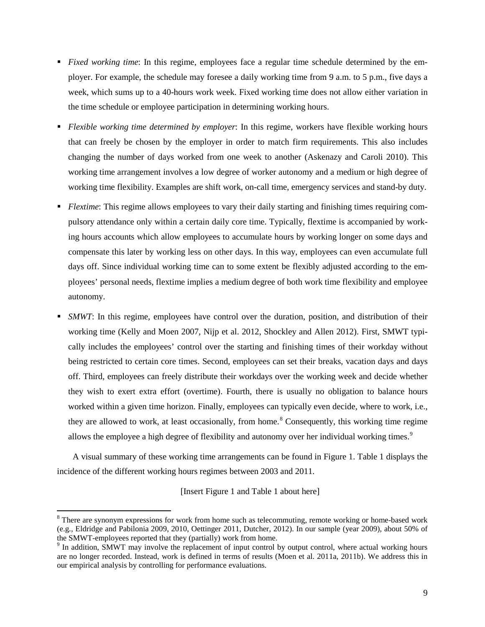- *Fixed working time*: In this regime, employees face a regular time schedule determined by the employer. For example, the schedule may foresee a daily working time from 9 a.m. to 5 p.m., five days a week, which sums up to a 40-hours work week. Fixed working time does not allow either variation in the time schedule or employee participation in determining working hours.
- *Flexible working time determined by employer*: In this regime, workers have flexible working hours that can freely be chosen by the employer in order to match firm requirements. This also includes changing the number of days worked from one week to another (Askenazy and Caroli 2010). This working time arrangement involves a low degree of worker autonomy and a medium or high degree of working time flexibility. Examples are shift work, on-call time, emergency services and stand-by duty.
- **F** *Flextime*: This regime allows employees to vary their daily starting and finishing times requiring compulsory attendance only within a certain daily core time. Typically, flextime is accompanied by working hours accounts which allow employees to accumulate hours by working longer on some days and compensate this later by working less on other days. In this way, employees can even accumulate full days off. Since individual working time can to some extent be flexibly adjusted according to the employees' personal needs, flextime implies a medium degree of both work time flexibility and employee autonomy.
- *SMWT*: In this regime, employees have control over the duration, position, and distribution of their working time (Kelly and Moen 2007, Nijp et al. 2012, Shockley and Allen 2012). First, SMWT typically includes the employees' control over the starting and finishing times of their workday without being restricted to certain core times. Second, employees can set their breaks, vacation days and days off. Third, employees can freely distribute their workdays over the working week and decide whether they wish to exert extra effort (overtime). Fourth, there is usually no obligation to balance hours worked within a given time horizon. Finally, employees can typically even decide, where to work, i.e., they are allowed to work, at least occasionally, from home.<sup>[8](#page-10-0)</sup> Consequently, this working time regime allows the employee a high degree of flexibility and autonomy over her individual working times.<sup>[9](#page-10-1)</sup>

A visual summary of these working time arrangements can be found in Figure 1. Table 1 displays the incidence of the different working hours regimes between 2003 and 2011.

[Insert Figure 1 and Table 1 about here]

<span id="page-10-0"></span><sup>&</sup>lt;sup>8</sup> There are synonym expressions for work from home such as telecommuting, remote working or home-based work (e.g., Eldridge and Pabilonia 2009, 2010, Oettinger 2011, Dutcher, 2012). In our sample (year 2009), about 50% of the SMWT-employees reported that they (partially) work from home.<br><sup>9</sup> In addition, SMWT may involve the replacement of input control by output control, where actual working hours

<span id="page-10-1"></span>are no longer recorded. Instead, work is defined in terms of results (Moen et al. 2011a, 2011b). We address this in our empirical analysis by controlling for performance evaluations.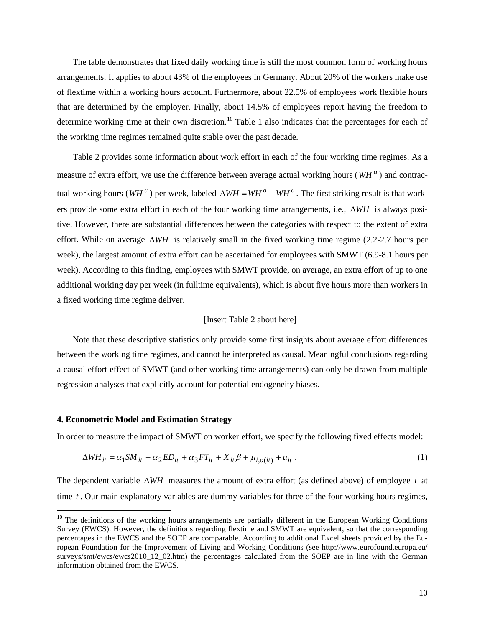The table demonstrates that fixed daily working time is still the most common form of working hours arrangements. It applies to about 43% of the employees in Germany. About 20% of the workers make use of flextime within a working hours account. Furthermore, about 22.5% of employees work flexible hours that are determined by the employer. Finally, about 14.5% of employees report having the freedom to determine working time at their own discretion.<sup>[10](#page-11-0)</sup> Table 1 also indicates that the percentages for each of the working time regimes remained quite stable over the past decade.

Table 2 provides some information about work effort in each of the four working time regimes. As a measure of extra effort, we use the difference between average actual working hours ( $WH^a$ ) and contractual working hours ( $W H^c$ ) per week, labeled  $\Delta W H = W H^a - W H^c$ . The first striking result is that workers provide some extra effort in each of the four working time arrangements, i.e., ∆*WH* is always positive. However, there are substantial differences between the categories with respect to the extent of extra effort. While on average ∆*WH* is relatively small in the fixed working time regime (2.2-2.7 hours per week), the largest amount of extra effort can be ascertained for employees with SMWT (6.9-8.1 hours per week). According to this finding, employees with SMWT provide, on average, an extra effort of up to one additional working day per week (in fulltime equivalents), which is about five hours more than workers in a fixed working time regime deliver.

### [Insert Table 2 about here]

Note that these descriptive statistics only provide some first insights about average effort differences between the working time regimes, and cannot be interpreted as causal. Meaningful conclusions regarding a causal effort effect of SMWT (and other working time arrangements) can only be drawn from multiple regression analyses that explicitly account for potential endogeneity biases.

#### **4. Econometric Model and Estimation Strategy**

 $\overline{a}$ 

In order to measure the impact of SMWT on worker effort, we specify the following fixed effects model:

$$
\Delta WH_{it} = \alpha_1 SM_{it} + \alpha_2 ED_{it} + \alpha_3 FT_{it} + X_{it}\beta + \mu_{i,o(it)} + u_{it} \tag{1}
$$

The dependent variable ∆*WH* measures the amount of extra effort (as defined above) of employee *i* at time *t* . Our main explanatory variables are dummy variables for three of the four working hours regimes,

<span id="page-11-0"></span><sup>&</sup>lt;sup>10</sup> The definitions of the working hours arrangements are partially different in the European Working Conditions Survey (EWCS). However, the definitions regarding flextime and SMWT are equivalent, so that the corresponding percentages in the EWCS and the SOEP are comparable. According to additional Excel sheets provided by the European Foundation for the Improvement of Living and Working Conditions (see http://www.eurofound.europa.eu/ surveys/smt/ewcs/ewcs2010\_12\_02.htm) the percentages calculated from the SOEP are in line with the German information obtained from the EWCS.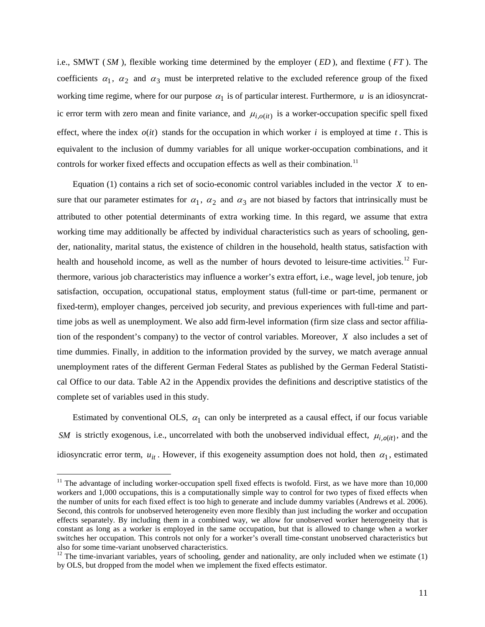i.e., SMWT ( *SM* ), flexible working time determined by the employer ( *ED* ), and flextime ( *FT* ). The coefficients  $\alpha_1$ ,  $\alpha_2$  and  $\alpha_3$  must be interpreted relative to the excluded reference group of the fixed working time regime, where for our purpose  $\alpha_1$  is of particular interest. Furthermore,  $u$  is an idiosyncratic error term with zero mean and finite variance, and  $\mu_{i,o(it)}$  is a worker-occupation specific spell fixed effect, where the index  $o(it)$  stands for the occupation in which worker *i* is employed at time *t*. This is equivalent to the inclusion of dummy variables for all unique worker-occupation combinations, and it controls for worker fixed effects and occupation effects as well as their combination.<sup>[11](#page-12-0)</sup>

Equation (1) contains a rich set of socio-economic control variables included in the vector *X* to ensure that our parameter estimates for  $\alpha_1$ ,  $\alpha_2$  and  $\alpha_3$  are not biased by factors that intrinsically must be attributed to other potential determinants of extra working time. In this regard, we assume that extra working time may additionally be affected by individual characteristics such as years of schooling, gender, nationality, marital status, the existence of children in the household, health status, satisfaction with health and household income, as well as the number of hours devoted to leisure-time activities.<sup>[12](#page-12-1)</sup> Furthermore, various job characteristics may influence a worker's extra effort, i.e., wage level, job tenure, job satisfaction, occupation, occupational status, employment status (full-time or part-time, permanent or fixed-term), employer changes, perceived job security, and previous experiences with full-time and parttime jobs as well as unemployment. We also add firm-level information (firm size class and sector affiliation of the respondent's company) to the vector of control variables. Moreover, *X* also includes a set of time dummies. Finally, in addition to the information provided by the survey, we match average annual unemployment rates of the different German Federal States as published by the German Federal Statistical Office to our data. Table A2 in the Appendix provides the definitions and descriptive statistics of the complete set of variables used in this study.

Estimated by conventional OLS,  $\alpha_1$  can only be interpreted as a causal effect, if our focus variable *SM* is strictly exogenous, i.e., uncorrelated with both the unobserved individual effect,  $\mu_i$ <sub>o</sub>(*it*), and the idiosyncratic error term,  $u_{it}$ . However, if this exogeneity assumption does not hold, then  $\alpha_1$ , estimated

<span id="page-12-0"></span> $11$  The advantage of including worker-occupation spell fixed effects is twofold. First, as we have more than  $10,000$ workers and 1,000 occupations, this is a computationally simple way to control for two types of fixed effects when the number of units for each fixed effect is too high to generate and include dummy variables (Andrews et al. 2006). Second, this controls for unobserved heterogeneity even more flexibly than just including the worker and occupation effects separately. By including them in a combined way, we allow for unobserved worker heterogeneity that is constant as long as a worker is employed in the same occupation, but that is allowed to change when a worker switches her occupation. This controls not only for a worker's overall time-constant unobserved characteristics but

<span id="page-12-1"></span>also for some time-variant unobserved characteristics.<br><sup>12</sup> The time-invariant variables, years of schooling, gender and nationality, are only included when we estimate (1) by OLS, but dropped from the model when we implement the fixed effects estimator.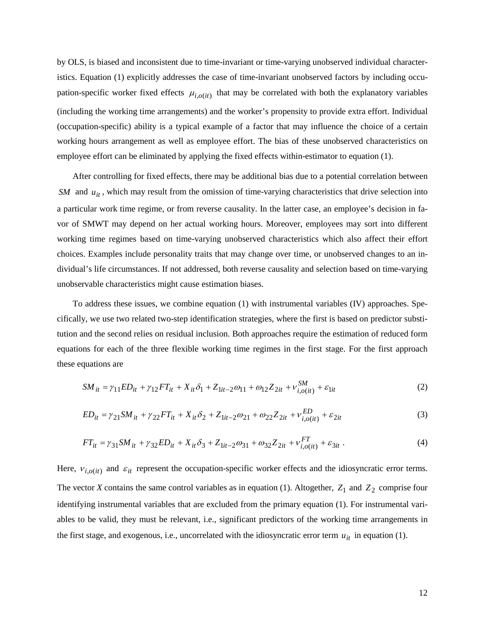by OLS, is biased and inconsistent due to time-invariant or time-varying unobserved individual characteristics. Equation (1) explicitly addresses the case of time-invariant unobserved factors by including occupation-specific worker fixed effects  $\mu_{i,o(it)}$  that may be correlated with both the explanatory variables (including the working time arrangements) and the worker's propensity to provide extra effort. Individual (occupation-specific) ability is a typical example of a factor that may influence the choice of a certain working hours arrangement as well as employee effort. The bias of these unobserved characteristics on employee effort can be eliminated by applying the fixed effects within-estimator to equation (1).

After controlling for fixed effects, there may be additional bias due to a potential correlation between *SM* and  $u_{it}$ , which may result from the omission of time-varying characteristics that drive selection into a particular work time regime, or from reverse causality. In the latter case, an employee's decision in favor of SMWT may depend on her actual working hours. Moreover, employees may sort into different working time regimes based on time-varying unobserved characteristics which also affect their effort choices. Examples include personality traits that may change over time, or unobserved changes to an individual's life circumstances. If not addressed, both reverse causality and selection based on time-varying unobservable characteristics might cause estimation biases.

To address these issues, we combine equation (1) with instrumental variables (IV) approaches. Specifically, we use two related two-step identification strategies, where the first is based on predictor substitution and the second relies on residual inclusion. Both approaches require the estimation of reduced form equations for each of the three flexible working time regimes in the first stage. For the first approach these equations are

$$
SM_{it} = \gamma_{11} ED_{it} + \gamma_{12} FT_{it} + X_{it} \delta_1 + Z_{1it-2} \omega_{11} + \omega_{12} Z_{2it} + v_{i,o(it)}^{SM} + \varepsilon_{1it}
$$
(2)

$$
ED_{it} = \gamma_{21}SM_{it} + \gamma_{22}FT_{it} + X_{it}\delta_2 + Z_{1it-2}\omega_{21} + \omega_{22}Z_{2it} + v_{i,o(it)}^{ED} + \varepsilon_{2it}
$$
(3)

$$
FT_{it} = \gamma_{31} SM_{it} + \gamma_{32} ED_{it} + X_{it} \delta_3 + Z_{1it-2} \omega_{31} + \omega_{32} Z_{2it} + v_{i,o(it)}^{FT} + \varepsilon_{3it} \tag{4}
$$

Here,  $v_{i,o(it)}$  and  $\varepsilon_{it}$  represent the occupation-specific worker effects and the idiosyncratic error terms. The vector *X* contains the same control variables as in equation (1). Altogether,  $Z_1$  and  $Z_2$  comprise four identifying instrumental variables that are excluded from the primary equation (1). For instrumental variables to be valid, they must be relevant, i.e., significant predictors of the working time arrangements in the first stage, and exogenous, i.e., uncorrelated with the idiosyncratic error term  $u_{it}$  in equation (1).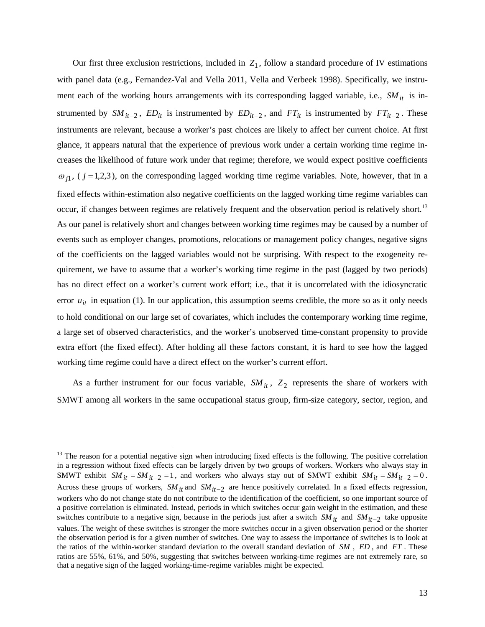Our first three exclusion restrictions, included in  $Z_1$ , follow a standard procedure of IV estimations with panel data (e.g., Fernandez-Val and Vella 2011, Vella and Verbeek 1998). Specifically, we instrument each of the working hours arrangements with its corresponding lagged variable, i.e.,  $SM_{it}$  is instrumented by  $SM_{it-2}$ ,  $ED_{it}$  is instrumented by  $ED_{it-2}$ , and  $FT_{it}$  is instrumented by  $FT_{it-2}$ . These instruments are relevant, because a worker's past choices are likely to affect her current choice. At first glance, it appears natural that the experience of previous work under a certain working time regime increases the likelihood of future work under that regime; therefore, we would expect positive coefficients  $\omega_{i,j}$ , (  $j = 1,2,3$ ), on the corresponding lagged working time regime variables. Note, however, that in a fixed effects within-estimation also negative coefficients on the lagged working time regime variables can occur, if changes between regimes are relatively frequent and the observation period is relatively short.<sup>[13](#page-14-0)</sup> As our panel is relatively short and changes between working time regimes may be caused by a number of events such as employer changes, promotions, relocations or management policy changes, negative signs of the coefficients on the lagged variables would not be surprising. With respect to the exogeneity requirement, we have to assume that a worker's working time regime in the past (lagged by two periods) has no direct effect on a worker's current work effort; i.e., that it is uncorrelated with the idiosyncratic error  $u_{it}$  in equation (1). In our application, this assumption seems credible, the more so as it only needs to hold conditional on our large set of covariates, which includes the contemporary working time regime, a large set of observed characteristics, and the worker's unobserved time-constant propensity to provide extra effort (the fixed effect). After holding all these factors constant, it is hard to see how the lagged working time regime could have a direct effect on the worker's current effort.

As a further instrument for our focus variable,  $SM_{it}$ ,  $Z_2$  represents the share of workers with SMWT among all workers in the same occupational status group, firm-size category, sector, region, and

<span id="page-14-0"></span><sup>&</sup>lt;sup>13</sup> The reason for a potential negative sign when introducing fixed effects is the following. The positive correlation in a regression without fixed effects can be largely driven by two groups of workers. Workers who always stay in SMWT exhibit  $SM_{it} = SM_{it-2} = 1$ , and workers who always stay out of SMWT exhibit  $SM_{it} = SM_{it-2} = 0$ . Across these groups of workers,  $SM_{it}$  and  $SM_{it-2}$  are hence positively correlated. In a fixed effects regression, workers who do not change state do not contribute to the identification of the coefficient, so one important source of a positive correlation is eliminated. Instead, periods in which switches occur gain weight in the estimation, and these switches contribute to a negative sign, because in the periods just after a switch *SM it* and *SM it*−2 take opposite values. The weight of these switches is stronger the more switches occur in a given observation period or the shorter the observation period is for a given number of switches. One way to assess the importance of switches is to look at the ratios of the within-worker standard deviation to the overall standard deviation of *SM* , *ED* , and *FT* . These ratios are 55%, 61%, and 50%, suggesting that switches between working-time regimes are not extremely rare, so that a negative sign of the lagged working-time-regime variables might be expected.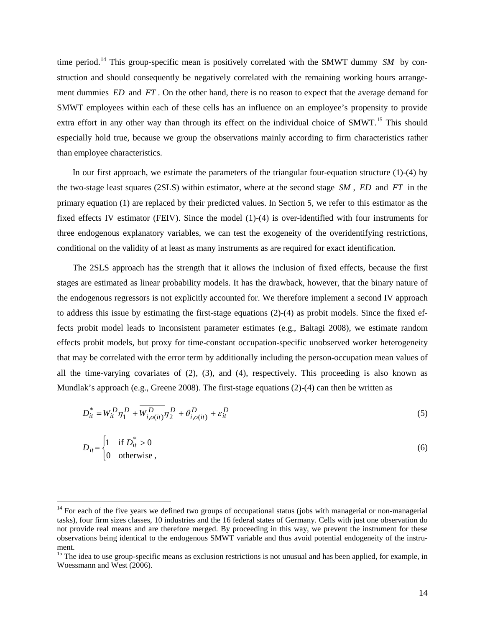time period.[14](#page-15-0) This group-specific mean is positively correlated with the SMWT dummy *SM* by construction and should consequently be negatively correlated with the remaining working hours arrangement dummies *ED* and *FT* . On the other hand, there is no reason to expect that the average demand for SMWT employees within each of these cells has an influence on an employee's propensity to provide extra effort in any other way than through its effect on the individual choice of SMWT.<sup>[15](#page-15-1)</sup> This should especially hold true, because we group the observations mainly according to firm characteristics rather than employee characteristics.

In our first approach, we estimate the parameters of the triangular four-equation structure  $(1)-(4)$  by the two-stage least squares (2SLS) within estimator, where at the second stage *SM* , *ED* and *FT* in the primary equation (1) are replaced by their predicted values. In Section 5, we refer to this estimator as the fixed effects IV estimator (FEIV). Since the model (1)-(4) is over-identified with four instruments for three endogenous explanatory variables, we can test the exogeneity of the overidentifying restrictions, conditional on the validity of at least as many instruments as are required for exact identification.

The 2SLS approach has the strength that it allows the inclusion of fixed effects, because the first stages are estimated as linear probability models. It has the drawback, however, that the binary nature of the endogenous regressors is not explicitly accounted for. We therefore implement a second IV approach to address this issue by estimating the first-stage equations (2)-(4) as probit models. Since the fixed effects probit model leads to inconsistent parameter estimates (e.g., Baltagi 2008), we estimate random effects probit models, but proxy for time-constant occupation-specific unobserved worker heterogeneity that may be correlated with the error term by additionally including the person-occupation mean values of all the time-varying covariates of  $(2)$ ,  $(3)$ , and  $(4)$ , respectively. This proceeding is also known as Mundlak's approach (e.g., Greene 2008). The first-stage equations (2)-(4) can then be written as

$$
D_{it}^{*} = W_{it}^{D} \eta_{1}^{D} + \overline{W_{i,o(it)}^{D}} \eta_{2}^{D} + \theta_{i,o(it)}^{D} + \varepsilon_{it}^{D}
$$
\n(5)

$$
D_{it} = \begin{cases} 1 & \text{if } D_{it}^{*} > 0 \\ 0 & \text{otherwise} \end{cases}
$$
 (6)

<span id="page-15-0"></span><sup>&</sup>lt;sup>14</sup> For each of the five years we defined two groups of occupational status (jobs with managerial or non-managerial tasks), four firm sizes classes, 10 industries and the 16 federal states of Germany. Cells with just one observation do not provide real means and are therefore merged. By proceeding in this way, we prevent the instrument for these observations being identical to the endogenous SMWT variable and thus avoid potential endogeneity of the instrument.

<span id="page-15-1"></span><sup>&</sup>lt;sup>15</sup> The idea to use group-specific means as exclusion restrictions is not unusual and has been applied, for example, in Woessmann and West (2006).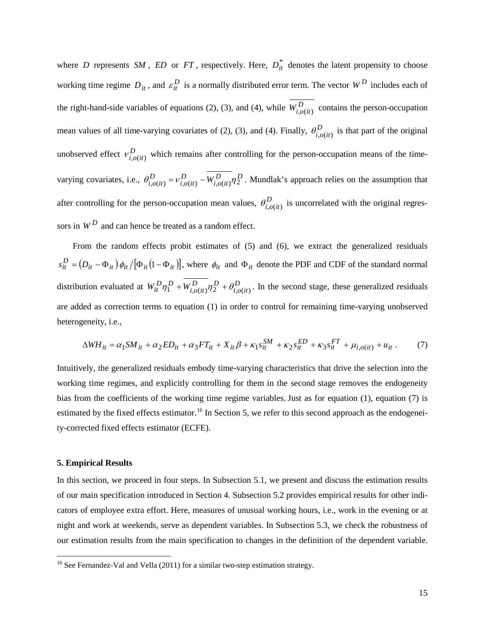where *D* represents *SM*, *ED* or *FT*, respectively. Here,  $D_{it}^{*}$  denotes the latent propensity to choose working time regime  $D_{it}$ , and  $\varepsilon_{it}^D$  is a normally distributed error term. The vector  $W^D$  includes each of the right-hand-side variables of equations (2), (3), and (4), while  $\overline{W_{i,o(it)}^D}$  contains the person-occupation mean values of all time-varying covariates of (2), (3), and (4). Finally,  $\theta_{i,o(it)}^D$  is that part of the original unobserved effect  $v_{i,o(it)}^D$  which remains after controlling for the person-occupation means of the timevarying covariates, i.e.,  $\theta_{i,o(it)}^D = v_{i,o(it)}^D - W_{i,o(it)}^D \eta_2^D$ *D*  $\theta_{i,o(it)}^D = v_{i,o(it)}^D - W_{i,o(it)}^D \eta_2^D$ . Mundlak's approach relies on the assumption that after controlling for the person-occupation mean values,  $\theta_{i,o(it)}^D$  is uncorrelated with the original regressors in  $W^D$  and can hence be treated as a random effect.

From the random effects probit estimates of (5) and (6), we extract the generalized residuals  $s_{it}^D = (D_{it} - \Phi_{it}) \phi_{it} / [\Phi_{it} (1 - \Phi_{it})]$ , where  $\phi_{it}$  and  $\Phi_{it}$  denote the PDF and CDF of the standard normal distribution evaluated at  $W_{it}^D \eta_1^D + W_{i,o(it)}^D \eta_2^D + \theta_{i,o(it)}^D$ *D D*  $W_{it}^{D} \eta_1^D + W_{i,o(it)}^{D} \eta_2^D + \theta_{i,o(it)}^{D}$ . In the second stage, these generalized residuals are added as correction terms to equation (1) in order to control for remaining time-varying unobserved heterogeneity, i.e.,

$$
\Delta WH_{it} = \alpha_1 SM_{it} + \alpha_2 ED_{it} + \alpha_3 FT_{it} + X_{it} \beta + \kappa_1 s_{it}^{SM} + \kappa_2 s_{it}^{ED} + \kappa_3 s_{it}^{FT} + \mu_{i,o(it)} + u_{it} \,. \tag{7}
$$

Intuitively, the generalized residuals embody time-varying characteristics that drive the selection into the working time regimes, and explicitly controlling for them in the second stage removes the endogeneity bias from the coefficients of the working time regime variables. Just as for equation (1), equation (7) is estimated by the fixed effects estimator.<sup>[16](#page-16-0)</sup> In Section 5, we refer to this second approach as the endogeneity-corrected fixed effects estimator (ECFE).

#### **5. Empirical Results**

 $\overline{a}$ 

In this section, we proceed in four steps. In Subsection 5.1, we present and discuss the estimation results of our main specification introduced in Section 4. Subsection 5.2 provides empirical results for other indicators of employee extra effort. Here, measures of unusual working hours, i.e., work in the evening or at night and work at weekends, serve as dependent variables. In Subsection 5.3, we check the robustness of our estimation results from the main specification to changes in the definition of the dependent variable.

<span id="page-16-0"></span><sup>&</sup>lt;sup>16</sup> See Fernandez-Val and Vella (2011) for a similar two-step estimation strategy.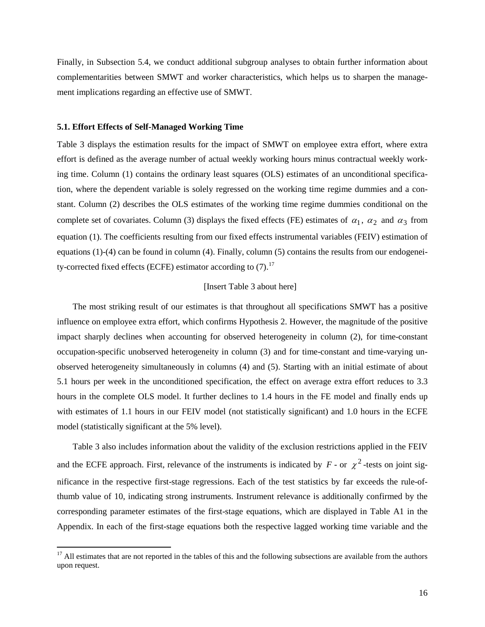Finally, in Subsection 5.4, we conduct additional subgroup analyses to obtain further information about complementarities between SMWT and worker characteristics, which helps us to sharpen the management implications regarding an effective use of SMWT.

#### **5.1. Effort Effects of Self-Managed Working Time**

 $\overline{a}$ 

Table 3 displays the estimation results for the impact of SMWT on employee extra effort, where extra effort is defined as the average number of actual weekly working hours minus contractual weekly working time. Column (1) contains the ordinary least squares (OLS) estimates of an unconditional specification, where the dependent variable is solely regressed on the working time regime dummies and a constant. Column (2) describes the OLS estimates of the working time regime dummies conditional on the complete set of covariates. Column (3) displays the fixed effects (FE) estimates of  $\alpha_1$ ,  $\alpha_2$  and  $\alpha_3$  from equation (1). The coefficients resulting from our fixed effects instrumental variables (FEIV) estimation of equations (1)-(4) can be found in column (4). Finally, column (5) contains the results from our endogeneity-corrected fixed effects (ECFE) estimator according to  $(7)$ .<sup>[17](#page-17-0)</sup>

# [Insert Table 3 about here]

The most striking result of our estimates is that throughout all specifications SMWT has a positive influence on employee extra effort, which confirms Hypothesis 2. However, the magnitude of the positive impact sharply declines when accounting for observed heterogeneity in column (2), for time-constant occupation-specific unobserved heterogeneity in column (3) and for time-constant and time-varying unobserved heterogeneity simultaneously in columns (4) and (5). Starting with an initial estimate of about 5.1 hours per week in the unconditioned specification, the effect on average extra effort reduces to 3.3 hours in the complete OLS model. It further declines to 1.4 hours in the FE model and finally ends up with estimates of 1.1 hours in our FEIV model (not statistically significant) and 1.0 hours in the ECFE model (statistically significant at the 5% level).

Table 3 also includes information about the validity of the exclusion restrictions applied in the FEIV and the ECFE approach. First, relevance of the instruments is indicated by  $F$  - or  $\chi^2$  -tests on joint significance in the respective first-stage regressions. Each of the test statistics by far exceeds the rule-ofthumb value of 10, indicating strong instruments. Instrument relevance is additionally confirmed by the corresponding parameter estimates of the first-stage equations, which are displayed in Table A1 in the Appendix. In each of the first-stage equations both the respective lagged working time variable and the

<span id="page-17-0"></span> $17$  All estimates that are not reported in the tables of this and the following subsections are available from the authors upon request.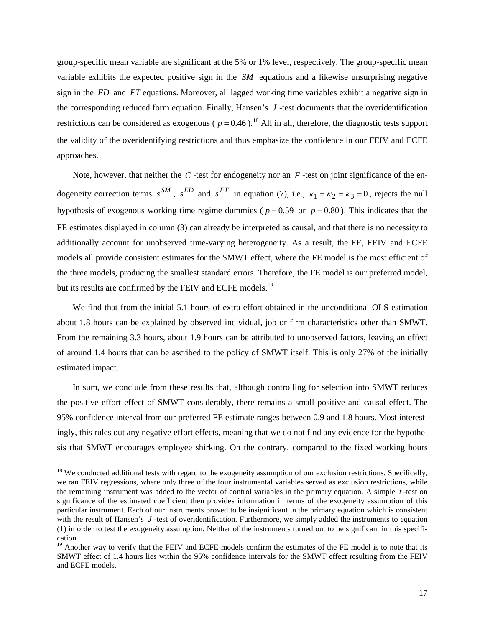group-specific mean variable are significant at the 5% or 1% level, respectively. The group-specific mean variable exhibits the expected positive sign in the *SM* equations and a likewise unsurprising negative sign in the *ED* and *FT* equations. Moreover, all lagged working time variables exhibit a negative sign in the corresponding reduced form equation. Finally, Hansen's *J* -test documents that the overidentification restrictions can be considered as exogenous ( $p = 0.46$ ).<sup>[18](#page-18-0)</sup> All in all, therefore, the diagnostic tests support the validity of the overidentifying restrictions and thus emphasize the confidence in our FEIV and ECFE approaches.

Note, however, that neither the  $C$ -test for endogeneity nor an  $F$ -test on joint significance of the endogeneity correction terms  $s^{SM}$ ,  $s^{ED}$  and  $s^{FT}$  in equation (7), i.e.,  $\kappa_1 = \kappa_2 = \kappa_3 = 0$ , rejects the null hypothesis of exogenous working time regime dummies ( $p = 0.59$  or  $p = 0.80$ ). This indicates that the FE estimates displayed in column (3) can already be interpreted as causal, and that there is no necessity to additionally account for unobserved time-varying heterogeneity. As a result, the FE, FEIV and ECFE models all provide consistent estimates for the SMWT effect, where the FE model is the most efficient of the three models, producing the smallest standard errors. Therefore, the FE model is our preferred model, but its results are confirmed by the FEIV and ECFE models.<sup>[19](#page-18-1)</sup>

We find that from the initial 5.1 hours of extra effort obtained in the unconditional OLS estimation about 1.8 hours can be explained by observed individual, job or firm characteristics other than SMWT. From the remaining 3.3 hours, about 1.9 hours can be attributed to unobserved factors, leaving an effect of around 1.4 hours that can be ascribed to the policy of SMWT itself. This is only 27% of the initially estimated impact.

In sum, we conclude from these results that, although controlling for selection into SMWT reduces the positive effort effect of SMWT considerably, there remains a small positive and causal effect. The 95% confidence interval from our preferred FE estimate ranges between 0.9 and 1.8 hours. Most interestingly, this rules out any negative effort effects, meaning that we do not find any evidence for the hypothesis that SMWT encourages employee shirking. On the contrary, compared to the fixed working hours

<span id="page-18-0"></span> $18$  We conducted additional tests with regard to the exogeneity assumption of our exclusion restrictions. Specifically, we ran FEIV regressions, where only three of the four instrumental variables served as exclusion restrictions, while the remaining instrument was added to the vector of control variables in the primary equation. A simple *t* -test on significance of the estimated coefficient then provides information in terms of the exogeneity assumption of this particular instrument. Each of our instruments proved to be insignificant in the primary equation which is consistent with the result of Hansen's *J* -test of overidentification. Furthermore, we simply added the instruments to equation (1) in order to test the exogeneity assumption. Neither of the instruments turned out to be significant in this specification.

<span id="page-18-1"></span><sup>&</sup>lt;sup>19</sup> Another way to verify that the FEIV and ECFE models confirm the estimates of the FE model is to note that its SMWT effect of 1.4 hours lies within the 95% confidence intervals for the SMWT effect resulting from the FEIV and ECFE models.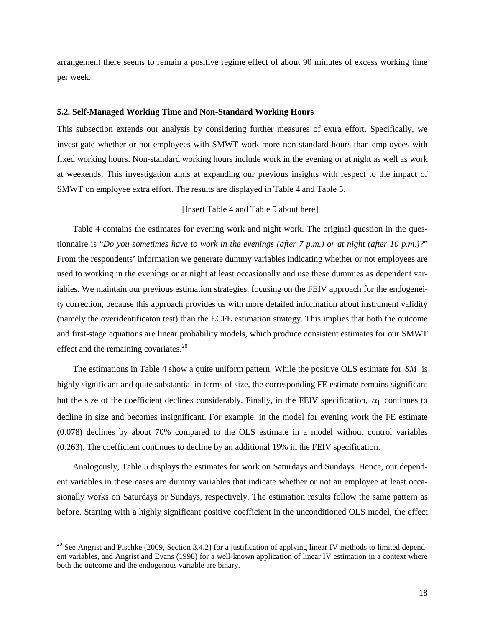arrangement there seems to remain a positive regime effect of about 90 minutes of excess working time per week.

#### **5.2. Self-Managed Working Time and Non-Standard Working Hours**

This subsection extends our analysis by considering further measures of extra effort. Specifically, we investigate whether or not employees with SMWT work more non-standard hours than employees with fixed working hours. Non-standard working hours include work in the evening or at night as well as work at weekends. This investigation aims at expanding our previous insights with respect to the impact of SMWT on employee extra effort. The results are displayed in Table 4 and Table 5.

### [Insert Table 4 and Table 5 about here]

Table 4 contains the estimates for evening work and night work. The original question in the questionnaire is "*Do you sometimes have to work in the evenings (after 7 p.m.) or at night (after 10 p.m.)?*" From the respondents' information we generate dummy variables indicating whether or not employees are used to working in the evenings or at night at least occasionally and use these dummies as dependent variables. We maintain our previous estimation strategies, focusing on the FEIV approach for the endogeneity correction, because this approach provides us with more detailed information about instrument validity (namely the overidentificaton test) than the ECFE estimation strategy. This implies that both the outcome and first-stage equations are linear probability models, which produce consistent estimates for our SMWT effect and the remaining covariates.<sup>[20](#page-19-0)</sup>

The estimations in Table 4 show a quite uniform pattern. While the positive OLS estimate for *SM* is highly significant and quite substantial in terms of size, the corresponding FE estimate remains significant but the size of the coefficient declines considerably. Finally, in the FEIV specification,  $\alpha_1$  continues to decline in size and becomes insignificant. For example, in the model for evening work the FE estimate (0.078) declines by about 70% compared to the OLS estimate in a model without control variables (0.263). The coefficient continues to decline by an additional 19% in the FEIV specification.

Analogously, Table 5 displays the estimates for work on Saturdays and Sundays. Hence, our dependent variables in these cases are dummy variables that indicate whether or not an employee at least occasionally works on Saturdays or Sundays, respectively. The estimation results follow the same pattern as before. Starting with a highly significant positive coefficient in the unconditioned OLS model, the effect

<span id="page-19-0"></span><sup>&</sup>lt;sup>20</sup> See Angrist and Pischke (2009, Section 3.4.2) for a justification of applying linear IV methods to limited dependent variables, and Angrist and Evans (1998) for a well-known application of linear IV estimation in a context where both the outcome and the endogenous variable are binary.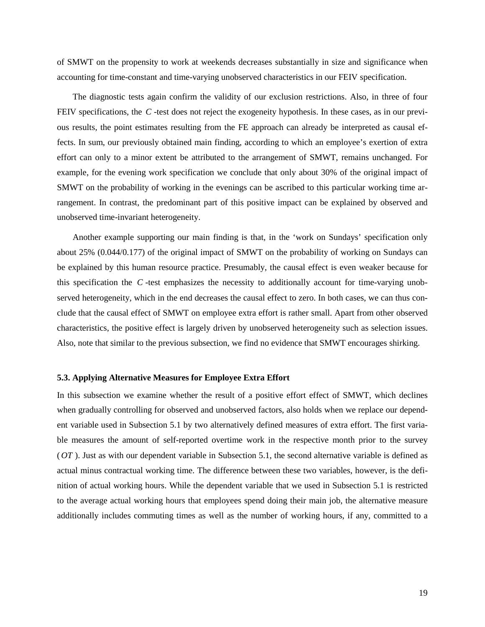of SMWT on the propensity to work at weekends decreases substantially in size and significance when accounting for time-constant and time-varying unobserved characteristics in our FEIV specification.

The diagnostic tests again confirm the validity of our exclusion restrictions. Also, in three of four FEIV specifications, the *C* -test does not reject the exogeneity hypothesis. In these cases, as in our previous results, the point estimates resulting from the FE approach can already be interpreted as causal effects. In sum, our previously obtained main finding, according to which an employee's exertion of extra effort can only to a minor extent be attributed to the arrangement of SMWT, remains unchanged. For example, for the evening work specification we conclude that only about 30% of the original impact of SMWT on the probability of working in the evenings can be ascribed to this particular working time arrangement. In contrast, the predominant part of this positive impact can be explained by observed and unobserved time-invariant heterogeneity.

Another example supporting our main finding is that, in the 'work on Sundays' specification only about 25% (0.044/0.177) of the original impact of SMWT on the probability of working on Sundays can be explained by this human resource practice. Presumably, the causal effect is even weaker because for this specification the *C* -test emphasizes the necessity to additionally account for time-varying unobserved heterogeneity, which in the end decreases the causal effect to zero. In both cases, we can thus conclude that the causal effect of SMWT on employee extra effort is rather small. Apart from other observed characteristics, the positive effect is largely driven by unobserved heterogeneity such as selection issues. Also, note that similar to the previous subsection, we find no evidence that SMWT encourages shirking.

#### **5.3. Applying Alternative Measures for Employee Extra Effort**

In this subsection we examine whether the result of a positive effort effect of SMWT, which declines when gradually controlling for observed and unobserved factors, also holds when we replace our dependent variable used in Subsection 5.1 by two alternatively defined measures of extra effort. The first variable measures the amount of self-reported overtime work in the respective month prior to the survey (*OT* ). Just as with our dependent variable in Subsection 5.1, the second alternative variable is defined as actual minus contractual working time. The difference between these two variables, however, is the definition of actual working hours. While the dependent variable that we used in Subsection 5.1 is restricted to the average actual working hours that employees spend doing their main job, the alternative measure additionally includes commuting times as well as the number of working hours, if any, committed to a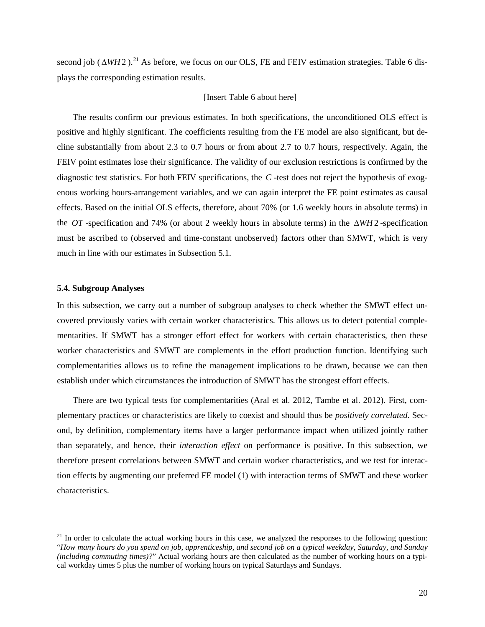second job ( $\triangle WH2$ ).<sup>[21](#page-21-0)</sup> As before, we focus on our OLS, FE and FEIV estimation strategies. Table 6 displays the corresponding estimation results.

#### [Insert Table 6 about here]

The results confirm our previous estimates. In both specifications, the unconditioned OLS effect is positive and highly significant. The coefficients resulting from the FE model are also significant, but decline substantially from about 2.3 to 0.7 hours or from about 2.7 to 0.7 hours, respectively. Again, the FEIV point estimates lose their significance. The validity of our exclusion restrictions is confirmed by the diagnostic test statistics. For both FEIV specifications, the *C* -test does not reject the hypothesis of exogenous working hours-arrangement variables, and we can again interpret the FE point estimates as causal effects. Based on the initial OLS effects, therefore, about 70% (or 1.6 weekly hours in absolute terms) in the *OT* -specification and 74% (or about 2 weekly hours in absolute terms) in the ∆*WH* 2 -specification must be ascribed to (observed and time-constant unobserved) factors other than SMWT, which is very much in line with our estimates in Subsection 5.1.

#### **5.4. Subgroup Analyses**

 $\overline{a}$ 

In this subsection, we carry out a number of subgroup analyses to check whether the SMWT effect uncovered previously varies with certain worker characteristics. This allows us to detect potential complementarities. If SMWT has a stronger effort effect for workers with certain characteristics, then these worker characteristics and SMWT are complements in the effort production function. Identifying such complementarities allows us to refine the management implications to be drawn, because we can then establish under which circumstances the introduction of SMWT has the strongest effort effects.

There are two typical tests for complementarities (Aral et al. 2012, Tambe et al. 2012). First, complementary practices or characteristics are likely to coexist and should thus be *positively correlated*. Second, by definition, complementary items have a larger performance impact when utilized jointly rather than separately, and hence, their *interaction effect* on performance is positive. In this subsection, we therefore present correlations between SMWT and certain worker characteristics, and we test for interaction effects by augmenting our preferred FE model (1) with interaction terms of SMWT and these worker characteristics.

<span id="page-21-0"></span> $21$  In order to calculate the actual working hours in this case, we analyzed the responses to the following question: "*How many hours do you spend on job, apprenticeship, and second job on a typical weekday, Saturday, and Sunday (including commuting times)?*" Actual working hours are then calculated as the number of working hours on a typical workday times 5 plus the number of working hours on typical Saturdays and Sundays.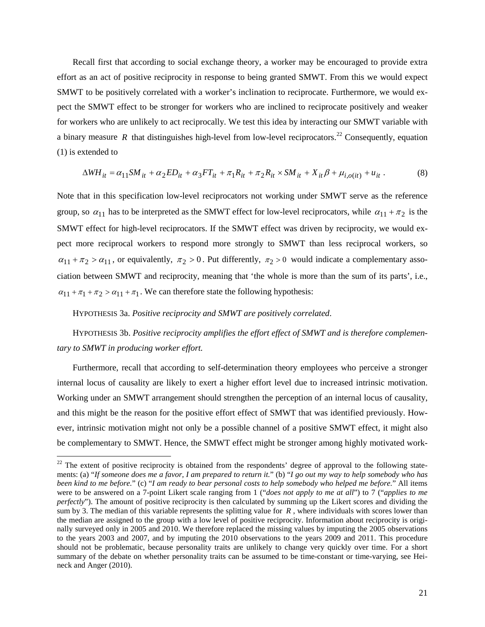Recall first that according to social exchange theory, a worker may be encouraged to provide extra effort as an act of positive reciprocity in response to being granted SMWT. From this we would expect SMWT to be positively correlated with a worker's inclination to reciprocate. Furthermore, we would expect the SMWT effect to be stronger for workers who are inclined to reciprocate positively and weaker for workers who are unlikely to act reciprocally. We test this idea by interacting our SMWT variable with a binary measure R that distinguishes high-level from low-level reciprocators.<sup>[22](#page-22-0)</sup> Consequently, equation (1) is extended to

$$
\Delta WH_{it} = \alpha_{11} SM_{it} + \alpha_2 ED_{it} + \alpha_3 FT_{it} + \pi_1 R_{it} + \pi_2 R_{it} \times SM_{it} + X_{it} \beta + \mu_{i, o(it)} + u_{it}.
$$
 (8)

Note that in this specification low-level reciprocators not working under SMWT serve as the reference group, so  $\alpha_{11}$  has to be interpreted as the SMWT effect for low-level reciprocators, while  $\alpha_{11} + \pi_2$  is the SMWT effect for high-level reciprocators. If the SMWT effect was driven by reciprocity, we would expect more reciprocal workers to respond more strongly to SMWT than less reciprocal workers, so  $\alpha_{11} + \pi_2 > \alpha_{11}$ , or equivalently,  $\pi_2 > 0$ . Put differently,  $\pi_2 > 0$  would indicate a complementary association between SMWT and reciprocity, meaning that 'the whole is more than the sum of its parts', i.e.,  $\alpha_{11} + \pi_1 + \pi_2 > \alpha_{11} + \pi_1$ . We can therefore state the following hypothesis:

HYPOTHESIS 3a. *Positive reciprocity and SMWT are positively correlated*.

 $\overline{a}$ 

HYPOTHESIS 3b. *Positive reciprocity amplifies the effort effect of SMWT and is therefore complementary to SMWT in producing worker effort.*

Furthermore, recall that according to self-determination theory employees who perceive a stronger internal locus of causality are likely to exert a higher effort level due to increased intrinsic motivation. Working under an SMWT arrangement should strengthen the perception of an internal locus of causality, and this might be the reason for the positive effort effect of SMWT that was identified previously. However, intrinsic motivation might not only be a possible channel of a positive SMWT effect, it might also be complementary to SMWT. Hence, the SMWT effect might be stronger among highly motivated work-

<span id="page-22-0"></span> $22$  The extent of positive reciprocity is obtained from the respondents' degree of approval to the following statements: (a) "*If someone does me a favor, I am prepared to return it.*" (b) "*I go out my way to help somebody who has been kind to me before.*" (c) "*I am ready to bear personal costs to help somebody who helped me before.*" All items were to be answered on a 7-point Likert scale ranging from 1 ("*does not apply to me at all*") to 7 ("*applies to me perfectly*"). The amount of positive reciprocity is then calculated by summing up the Likert scores and dividing the sum by 3. The median of this variable represents the splitting value for *R* , where individuals with scores lower than the median are assigned to the group with a low level of positive reciprocity. Information about reciprocity is originally surveyed only in 2005 and 2010. We therefore replaced the missing values by imputing the 2005 observations to the years 2003 and 2007, and by imputing the 2010 observations to the years 2009 and 2011. This procedure should not be problematic, because personality traits are unlikely to change very quickly over time. For a short summary of the debate on whether personality traits can be assumed to be time-constant or time-varying, see Heineck and Anger (2010).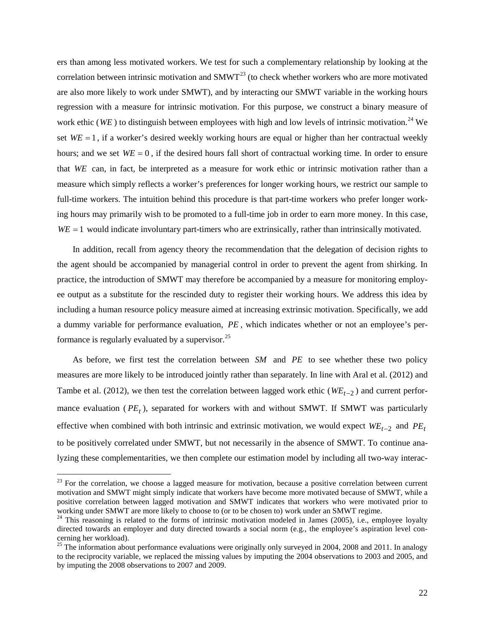ers than among less motivated workers. We test for such a complementary relationship by looking at the correlation between intrinsic motivation and  $S MWT<sup>23</sup>$  $S MWT<sup>23</sup>$  $S MWT<sup>23</sup>$  (to check whether workers who are more motivated are also more likely to work under SMWT), and by interacting our SMWT variable in the working hours regression with a measure for intrinsic motivation. For this purpose, we construct a binary measure of work ethic (*WE* ) to distinguish between employees with high and low levels of intrinsic motivation. [24](#page-23-1) We set  $WE = 1$ , if a worker's desired weekly working hours are equal or higher than her contractual weekly hours; and we set  $WE = 0$ , if the desired hours fall short of contractual working time. In order to ensure that *WE* can, in fact, be interpreted as a measure for work ethic or intrinsic motivation rather than a measure which simply reflects a worker's preferences for longer working hours, we restrict our sample to full-time workers. The intuition behind this procedure is that part-time workers who prefer longer working hours may primarily wish to be promoted to a full-time job in order to earn more money. In this case, *WE* = 1 would indicate involuntary part-timers who are extrinsically, rather than intrinsically motivated.

In addition, recall from agency theory the recommendation that the delegation of decision rights to the agent should be accompanied by managerial control in order to prevent the agent from shirking. In practice, the introduction of SMWT may therefore be accompanied by a measure for monitoring employee output as a substitute for the rescinded duty to register their working hours. We address this idea by including a human resource policy measure aimed at increasing extrinsic motivation. Specifically, we add a dummy variable for performance evaluation, *PE* , which indicates whether or not an employee's per-formance is regularly evaluated by a supervisor.<sup>[25](#page-23-2)</sup>

As before, we first test the correlation between *SM* and *PE* to see whether these two policy measures are more likely to be introduced jointly rather than separately. In line with Aral et al. (2012) and Tambe et al. (2012), we then test the correlation between lagged work ethic ( $W_{t-2}$ ) and current performance evaluation  $(PE_t)$ , separated for workers with and without SMWT. If SMWT was particularly effective when combined with both intrinsic and extrinsic motivation, we would expect *WE<sub>t</sub>*−2 and *PE<sub>t</sub>* to be positively correlated under SMWT, but not necessarily in the absence of SMWT. To continue analyzing these complementarities, we then complete our estimation model by including all two-way interac-

<span id="page-23-0"></span> $23$  For the correlation, we choose a lagged measure for motivation, because a positive correlation between current motivation and SMWT might simply indicate that workers have become more motivated because of SMWT, while a positive correlation between lagged motivation and SMWT indicates that workers who were motivated prior to working under SMWT are more likely to choose to (or to be chosen to) work under an SMWT regime.<br><sup>24</sup> This reasoning is related to the forms of intrinsic motivation modeled in James (2005), i.e., employee loyalty

<span id="page-23-1"></span>directed towards an employer and duty directed towards a social norm (e.g., the employee's aspiration level con-<br>cerning her workload).

<span id="page-23-2"></span> $25$  The information about performance evaluations were originally only surveyed in 2004, 2008 and 2011. In analogy to the reciprocity variable, we replaced the missing values by imputing the 2004 observations to 2003 and 2005, and by imputing the 2008 observations to 2007 and 2009.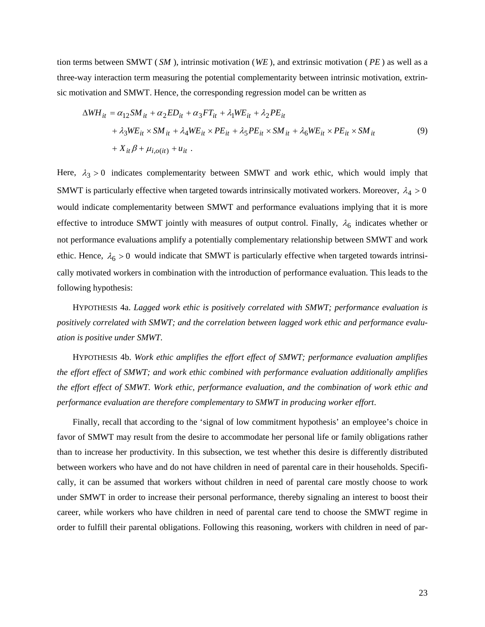tion terms between SMWT ( *SM* ), intrinsic motivation (*WE* ), and extrinsic motivation ( *PE* ) as well as a three-way interaction term measuring the potential complementarity between intrinsic motivation, extrinsic motivation and SMWT. Hence, the corresponding regression model can be written as

$$
\Delta WH_{it} = \alpha_{12} SM_{it} + \alpha_2 ED_{it} + \alpha_3 FT_{it} + \lambda_1 WE_{it} + \lambda_2 PE_{it}
$$
  
+  $\lambda_3 WE_{it} \times SM_{it} + \lambda_4 WE_{it} \times PE_{it} + \lambda_5 PE_{it} \times SM_{it} + \lambda_6 WE_{it} \times PE_{it} \times SM_{it}$   
+  $X_{it}\beta + \mu_{i,o(it)} + u_{it}$ . (9)

Here,  $\lambda_3 > 0$  indicates complementarity between SMWT and work ethic, which would imply that SMWT is particularly effective when targeted towards intrinsically motivated workers. Moreover,  $\lambda_4 > 0$ would indicate complementarity between SMWT and performance evaluations implying that it is more effective to introduce SMWT jointly with measures of output control. Finally,  $\lambda_6$  indicates whether or not performance evaluations amplify a potentially complementary relationship between SMWT and work ethic. Hence,  $\lambda_6 > 0$  would indicate that SMWT is particularly effective when targeted towards intrinsically motivated workers in combination with the introduction of performance evaluation. This leads to the following hypothesis:

HYPOTHESIS 4a. *Lagged work ethic is positively correlated with SMWT; performance evaluation is positively correlated with SMWT; and the correlation between lagged work ethic and performance evaluation is positive under SMWT*.

HYPOTHESIS 4b. *Work ethic amplifies the effort effect of SMWT; performance evaluation amplifies the effort effect of SMWT; and work ethic combined with performance evaluation additionally amplifies the effort effect of SMWT. Work ethic, performance evaluation, and the combination of work ethic and performance evaluation are therefore complementary to SMWT in producing worker effort*.

Finally, recall that according to the 'signal of low commitment hypothesis' an employee's choice in favor of SMWT may result from the desire to accommodate her personal life or family obligations rather than to increase her productivity. In this subsection, we test whether this desire is differently distributed between workers who have and do not have children in need of parental care in their households. Specifically, it can be assumed that workers without children in need of parental care mostly choose to work under SMWT in order to increase their personal performance, thereby signaling an interest to boost their career, while workers who have children in need of parental care tend to choose the SMWT regime in order to fulfill their parental obligations. Following this reasoning, workers with children in need of par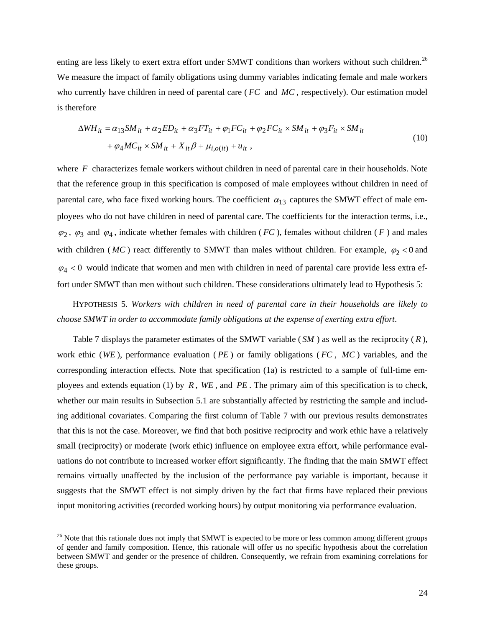enting are less likely to exert extra effort under SMWT conditions than workers without such children.<sup>[26](#page-25-0)</sup> We measure the impact of family obligations using dummy variables indicating female and male workers who currently have children in need of parental care (*FC* and *MC*, respectively). Our estimation model is therefore

$$
\Delta WH_{it} = \alpha_{13} SM_{it} + \alpha_2 ED_{it} + \alpha_3 FT_{it} + \varphi_1 FC_{it} + \varphi_2 FC_{it} \times SM_{it} + \varphi_3 F_{it} \times SM_{it}
$$
  
+ 
$$
\varphi_4 MC_{it} \times SM_{it} + X_{it}\beta + \mu_{i,o(it)} + u_{it} ,
$$
 (10)

where *F* characterizes female workers without children in need of parental care in their households. Note that the reference group in this specification is composed of male employees without children in need of parental care, who face fixed working hours. The coefficient  $\alpha_{13}$  captures the SMWT effect of male employees who do not have children in need of parental care. The coefficients for the interaction terms, i.e.,  $\varphi_2$ ,  $\varphi_3$  and  $\varphi_4$ , indicate whether females with children (*FC*), females without children (*F*) and males with children ( $MC$ ) react differently to SMWT than males without children. For example,  $\varphi_2 < 0$  and  $\varphi_4$  < 0 would indicate that women and men with children in need of parental care provide less extra effort under SMWT than men without such children. These considerations ultimately lead to Hypothesis 5:

HYPOTHESIS 5. *Workers with children in need of parental care in their households are likely to choose SMWT in order to accommodate family obligations at the expense of exerting extra effort*.

Table 7 displays the parameter estimates of the SMWT variable ( *SM* ) as well as the reciprocity ( *R* ), work ethic (*WE* ), performance evaluation ( *PE* ) or family obligations ( *FC* , *MC* ) variables, and the corresponding interaction effects. Note that specification (1a) is restricted to a sample of full-time employees and extends equation (1) by *R* , *WE* , and *PE* . The primary aim of this specification is to check, whether our main results in Subsection 5.1 are substantially affected by restricting the sample and including additional covariates. Comparing the first column of Table 7 with our previous results demonstrates that this is not the case. Moreover, we find that both positive reciprocity and work ethic have a relatively small (reciprocity) or moderate (work ethic) influence on employee extra effort, while performance evaluations do not contribute to increased worker effort significantly. The finding that the main SMWT effect remains virtually unaffected by the inclusion of the performance pay variable is important, because it suggests that the SMWT effect is not simply driven by the fact that firms have replaced their previous input monitoring activities (recorded working hours) by output monitoring via performance evaluation.

<span id="page-25-0"></span><sup>&</sup>lt;sup>26</sup> Note that this rationale does not imply that SMWT is expected to be more or less common among different groups of gender and family composition. Hence, this rationale will offer us no specific hypothesis about the correlation between SMWT and gender or the presence of children. Consequently, we refrain from examining correlations for these groups.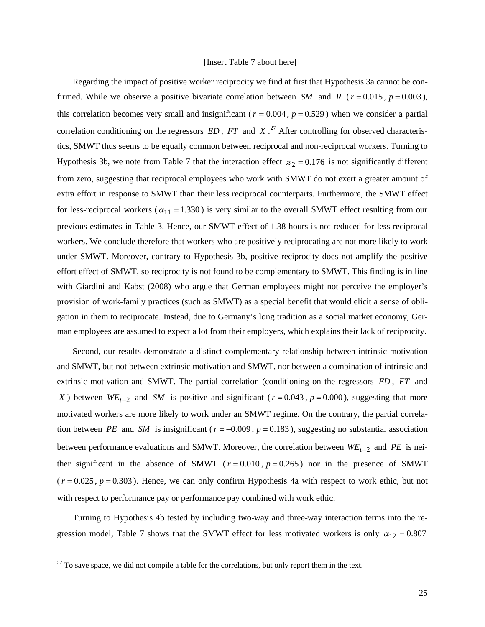#### [Insert Table 7 about here]

Regarding the impact of positive worker reciprocity we find at first that Hypothesis 3a cannot be confirmed. While we observe a positive bivariate correlation between *SM* and *R* ( $r = 0.015$ ,  $p = 0.003$ ), this correlation becomes very small and insignificant ( $r = 0.004$ ,  $p = 0.529$ ) when we consider a partial correlation conditioning on the regressors *ED* , *FT* and *X* . [27](#page-26-0) After controlling for observed characteristics, SMWT thus seems to be equally common between reciprocal and non-reciprocal workers. Turning to Hypothesis 3b, we note from Table 7 that the interaction effect  $\pi_2 = 0.176$  is not significantly different from zero, suggesting that reciprocal employees who work with SMWT do not exert a greater amount of extra effort in response to SMWT than their less reciprocal counterparts. Furthermore, the SMWT effect for less-reciprocal workers ( $\alpha_{11} = 1.330$ ) is very similar to the overall SMWT effect resulting from our previous estimates in Table 3. Hence, our SMWT effect of 1.38 hours is not reduced for less reciprocal workers. We conclude therefore that workers who are positively reciprocating are not more likely to work under SMWT. Moreover, contrary to Hypothesis 3b, positive reciprocity does not amplify the positive effort effect of SMWT, so reciprocity is not found to be complementary to SMWT. This finding is in line with Giardini and Kabst (2008) who argue that German employees might not perceive the employer's provision of work-family practices (such as SMWT) as a special benefit that would elicit a sense of obligation in them to reciprocate. Instead, due to Germany's long tradition as a social market economy, German employees are assumed to expect a lot from their employers, which explains their lack of reciprocity.

Second, our results demonstrate a distinct complementary relationship between intrinsic motivation and SMWT, but not between extrinsic motivation and SMWT, nor between a combination of intrinsic and extrinsic motivation and SMWT. The partial correlation (conditioning on the regressors *ED* , *FT* and *X*) between  $WE_{t-2}$  and *SM* is positive and significant ( $r = 0.043$ ,  $p = 0.000$ ), suggesting that more motivated workers are more likely to work under an SMWT regime. On the contrary, the partial correlation between *PE* and *SM* is insignificant ( $r = -0.009$ ,  $p = 0.183$ ), suggesting no substantial association between performance evaluations and SMWT. Moreover, the correlation between *WE*<sub>t−2</sub> and *PE* is neither significant in the absence of SMWT ( $r = 0.010$ ,  $p = 0.265$ ) nor in the presence of SMWT  $(r = 0.025, p = 0.303)$ . Hence, we can only confirm Hypothesis 4a with respect to work ethic, but not with respect to performance pay or performance pay combined with work ethic.

Turning to Hypothesis 4b tested by including two-way and three-way interaction terms into the regression model, Table 7 shows that the SMWT effect for less motivated workers is only  $\alpha_{12} = 0.807$ 

<span id="page-26-0"></span> $27$  To save space, we did not compile a table for the correlations, but only report them in the text.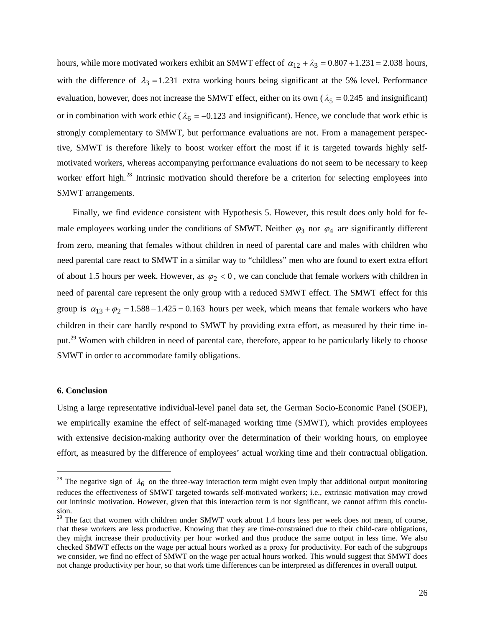hours, while more motivated workers exhibit an SMWT effect of  $\alpha_{12} + \lambda_3 = 0.807 + 1.231 = 2.038$  hours, with the difference of  $\lambda_3 = 1.231$  extra working hours being significant at the 5% level. Performance evaluation, however, does not increase the SMWT effect, either on its own ( $\lambda_5 = 0.245$  and insignificant) or in combination with work ethic ( $\lambda_6 = -0.123$  and insignificant). Hence, we conclude that work ethic is strongly complementary to SMWT, but performance evaluations are not. From a management perspective, SMWT is therefore likely to boost worker effort the most if it is targeted towards highly selfmotivated workers, whereas accompanying performance evaluations do not seem to be necessary to keep worker effort high.<sup>[28](#page-27-0)</sup> Intrinsic motivation should therefore be a criterion for selecting employees into SMWT arrangements.

Finally, we find evidence consistent with Hypothesis 5. However, this result does only hold for female employees working under the conditions of SMWT. Neither  $\varphi_3$  nor  $\varphi_4$  are significantly different from zero, meaning that females without children in need of parental care and males with children who need parental care react to SMWT in a similar way to "childless" men who are found to exert extra effort of about 1.5 hours per week. However, as  $\varphi_2 < 0$ , we can conclude that female workers with children in need of parental care represent the only group with a reduced SMWT effect. The SMWT effect for this group is  $\alpha_{13} + \varphi_2 = 1.588 - 1.425 = 0.163$  hours per week, which means that female workers who have children in their care hardly respond to SMWT by providing extra effort, as measured by their time in-put.<sup>[29](#page-27-1)</sup> Women with children in need of parental care, therefore, appear to be particularly likely to choose SMWT in order to accommodate family obligations.

#### **6. Conclusion**

 $\overline{a}$ 

Using a large representative individual-level panel data set, the German Socio-Economic Panel (SOEP), we empirically examine the effect of self-managed working time (SMWT), which provides employees with extensive decision-making authority over the determination of their working hours, on employee effort, as measured by the difference of employees' actual working time and their contractual obligation.

<span id="page-27-0"></span><sup>&</sup>lt;sup>28</sup> The negative sign of  $\lambda_6$  on the three-way interaction term might even imply that additional output monitoring reduces the effectiveness of SMWT targeted towards self-motivated workers; i.e., extrinsic motivation may crowd out intrinsic motivation. However, given that this interaction term is not significant, we cannot affirm this conclusion.

<span id="page-27-1"></span><sup>&</sup>lt;sup>29</sup> The fact that women with children under SMWT work about 1.4 hours less per week does not mean, of course, that these workers are less productive. Knowing that they are time-constrained due to their child-care obligations, they might increase their productivity per hour worked and thus produce the same output in less time. We also checked SMWT effects on the wage per actual hours worked as a proxy for productivity. For each of the subgroups we consider, we find no effect of SMWT on the wage per actual hours worked. This would suggest that SMWT does not change productivity per hour, so that work time differences can be interpreted as differences in overall output.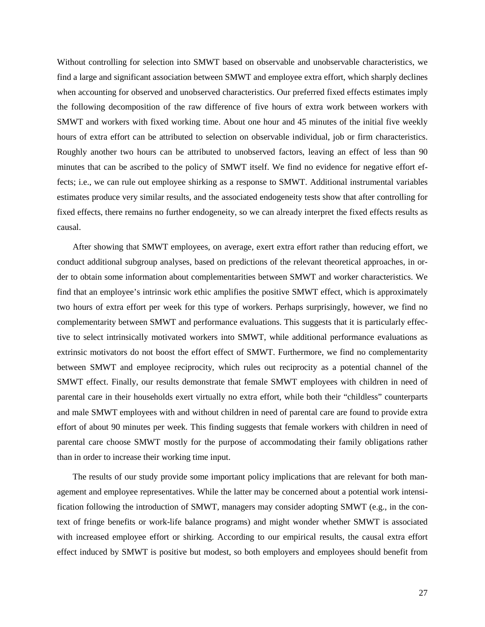Without controlling for selection into SMWT based on observable and unobservable characteristics, we find a large and significant association between SMWT and employee extra effort, which sharply declines when accounting for observed and unobserved characteristics. Our preferred fixed effects estimates imply the following decomposition of the raw difference of five hours of extra work between workers with SMWT and workers with fixed working time. About one hour and 45 minutes of the initial five weekly hours of extra effort can be attributed to selection on observable individual, job or firm characteristics. Roughly another two hours can be attributed to unobserved factors, leaving an effect of less than 90 minutes that can be ascribed to the policy of SMWT itself. We find no evidence for negative effort effects; i.e., we can rule out employee shirking as a response to SMWT. Additional instrumental variables estimates produce very similar results, and the associated endogeneity tests show that after controlling for fixed effects, there remains no further endogeneity, so we can already interpret the fixed effects results as causal.

After showing that SMWT employees, on average, exert extra effort rather than reducing effort, we conduct additional subgroup analyses, based on predictions of the relevant theoretical approaches, in order to obtain some information about complementarities between SMWT and worker characteristics. We find that an employee's intrinsic work ethic amplifies the positive SMWT effect, which is approximately two hours of extra effort per week for this type of workers. Perhaps surprisingly, however, we find no complementarity between SMWT and performance evaluations. This suggests that it is particularly effective to select intrinsically motivated workers into SMWT, while additional performance evaluations as extrinsic motivators do not boost the effort effect of SMWT. Furthermore, we find no complementarity between SMWT and employee reciprocity, which rules out reciprocity as a potential channel of the SMWT effect. Finally, our results demonstrate that female SMWT employees with children in need of parental care in their households exert virtually no extra effort, while both their "childless" counterparts and male SMWT employees with and without children in need of parental care are found to provide extra effort of about 90 minutes per week. This finding suggests that female workers with children in need of parental care choose SMWT mostly for the purpose of accommodating their family obligations rather than in order to increase their working time input.

The results of our study provide some important policy implications that are relevant for both management and employee representatives. While the latter may be concerned about a potential work intensification following the introduction of SMWT, managers may consider adopting SMWT (e.g., in the context of fringe benefits or work-life balance programs) and might wonder whether SMWT is associated with increased employee effort or shirking. According to our empirical results, the causal extra effort effect induced by SMWT is positive but modest, so both employers and employees should benefit from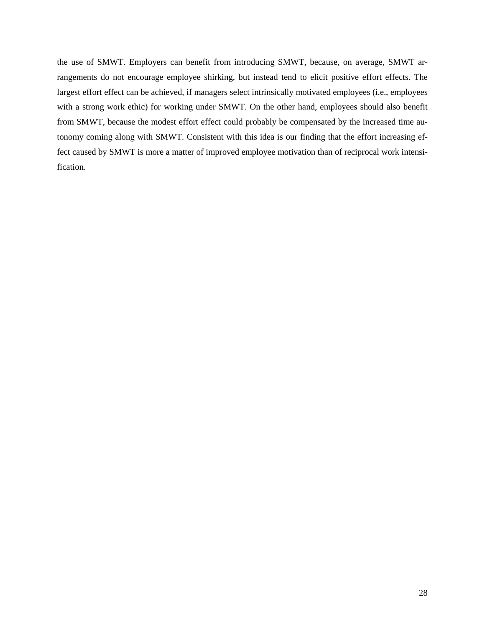the use of SMWT. Employers can benefit from introducing SMWT, because, on average, SMWT arrangements do not encourage employee shirking, but instead tend to elicit positive effort effects. The largest effort effect can be achieved, if managers select intrinsically motivated employees (i.e., employees with a strong work ethic) for working under SMWT. On the other hand, employees should also benefit from SMWT, because the modest effort effect could probably be compensated by the increased time autonomy coming along with SMWT. Consistent with this idea is our finding that the effort increasing effect caused by SMWT is more a matter of improved employee motivation than of reciprocal work intensification.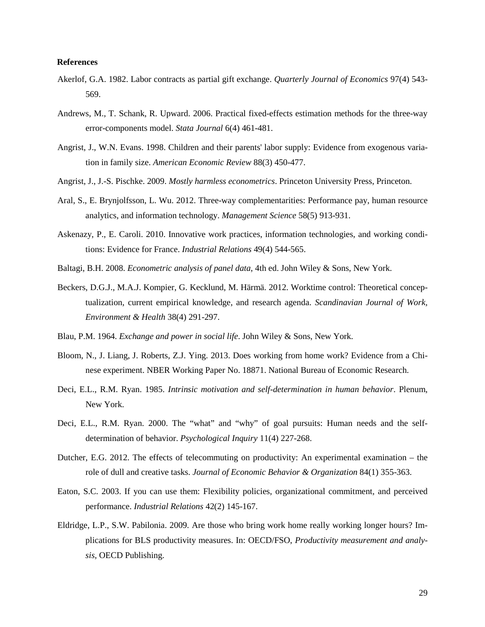#### **References**

- Akerlof, G.A. 1982. Labor contracts as partial gift exchange. *Quarterly Journal of Economics* 97(4) 543- 569.
- Andrews, M., T. Schank, R. Upward. 2006. Practical fixed-effects estimation methods for the three-way error-components model. *Stata Journal* 6(4) 461-481.
- Angrist, J., W.N. Evans. 1998. Children and their parents' labor supply: Evidence from exogenous variation in family size. *American Economic Review* 88(3) 450-477.
- Angrist, J., J.-S. Pischke. 2009. *Mostly harmless econometrics*. Princeton University Press, Princeton.
- Aral, S., E. Brynjolfsson, L. Wu. 2012. Three-way complementarities: Performance pay, human resource analytics, and information technology. *Management Science* 58(5) 913-931.
- Askenazy, P., E. Caroli. 2010. Innovative work practices, information technologies, and working conditions: Evidence for France. *Industrial Relations* 49(4) 544-565.
- Baltagi, B.H. 2008. *Econometric analysis of panel data*, 4th ed. John Wiley & Sons, New York.
- Beckers, D.G.J., M.A.J. Kompier, G. Kecklund, M. Härmä. 2012. Worktime control: Theoretical conceptualization, current empirical knowledge, and research agenda. *Scandinavian Journal of Work, Environment & Health* 38(4) 291-297.
- Blau, P.M. 1964. *Exchange and power in social life*. John Wiley & Sons, New York.
- Bloom, N., J. Liang, J. Roberts, Z.J. Ying. 2013. Does working from home work? Evidence from a Chinese experiment. NBER Working Paper No. 18871. National Bureau of Economic Research.
- Deci, E.L., R.M. Ryan. 1985. *Intrinsic motivation and self-determination in human behavior*. Plenum, New York.
- Deci, E.L., R.M. Ryan. 2000. The "what" and "why" of goal pursuits: Human needs and the selfdetermination of behavior. *Psychological Inquiry* 11(4) 227-268.
- Dutcher, E.G. 2012. The effects of telecommuting on productivity: An experimental examination the role of dull and creative tasks. *Journal of Economic Behavior & Organization* 84(1) 355-363.
- Eaton, S.C. 2003. If you can use them: Flexibility policies, organizational commitment, and perceived performance. *Industrial Relations* 42(2) 145-167.
- Eldridge, L.P., S.W. Pabilonia. 2009. Are those who bring work home really working longer hours? Implications for BLS productivity measures. In: OECD/FSO, *Productivity measurement and analysis*, OECD Publishing.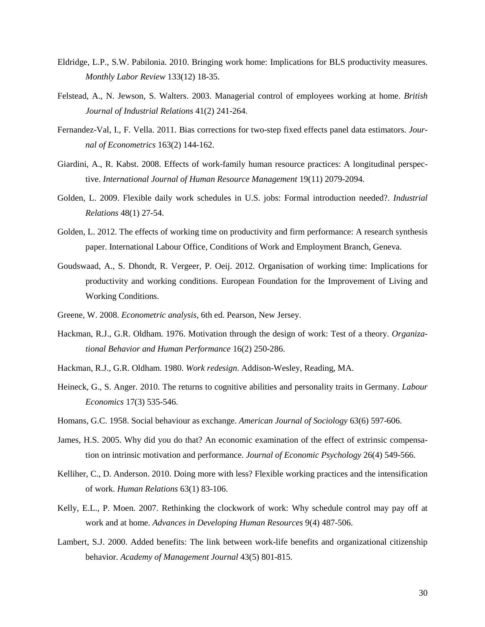- Eldridge, L.P., S.W. Pabilonia. 2010. Bringing work home: Implications for BLS productivity measures. *Monthly Labor Review* 133(12) 18-35.
- Felstead, A., N. Jewson, S. Walters. 2003. Managerial control of employees working at home. *British Journal of Industrial Relations* 41(2) 241-264.
- Fernandez-Val, I., F. Vella. 2011. Bias corrections for two-step fixed effects panel data estimators. *Journal of Econometrics* 163(2) 144-162.
- Giardini, A., R. Kabst. 2008. Effects of work-family human resource practices: A longitudinal perspective. *International Journal of Human Resource Management* 19(11) 2079-2094.
- Golden, L. 2009. Flexible daily work schedules in U.S. jobs: Formal introduction needed?. *Industrial Relations* 48(1) 27-54.
- Golden, L. 2012. The effects of working time on productivity and firm performance: A research synthesis paper. International Labour Office, Conditions of Work and Employment Branch, Geneva.
- Goudswaad, A., S. Dhondt, R. Vergeer, P. Oeij. 2012. Organisation of working time: Implications for productivity and working conditions. European Foundation for the Improvement of Living and Working Conditions.
- Greene, W. 2008. *Econometric analysis*, 6th ed. Pearson, New Jersey.
- Hackman, R.J., G.R. Oldham. 1976. Motivation through the design of work: Test of a theory. *Organizational Behavior and Human Performance* 16(2) 250-286.
- Hackman, R.J., G.R. Oldham. 1980. *Work redesign*. Addison-Wesley, Reading, MA.
- Heineck, G., S. Anger. 2010. The returns to cognitive abilities and personality traits in Germany. *Labour Economics* 17(3) 535-546.
- Homans, G.C. 1958. Social behaviour as exchange. *American Journal of Sociology* 63(6) 597-606.
- James, H.S. 2005. Why did you do that? An economic examination of the effect of extrinsic compensation on intrinsic motivation and performance. *Journal of Economic Psychology* 26(4) 549-566.
- Kelliher, C., D. Anderson. 2010. Doing more with less? Flexible working practices and the intensification of work. *Human Relations* 63(1) 83-106.
- Kelly, E.L., P. Moen. 2007. Rethinking the clockwork of work: Why schedule control may pay off at work and at home. *Advances in Developing Human Resources* 9(4) 487-506.
- Lambert, S.J. 2000. Added benefits: The link between work-life benefits and organizational citizenship behavior. *Academy of Management Journal* 43(5) 801-815.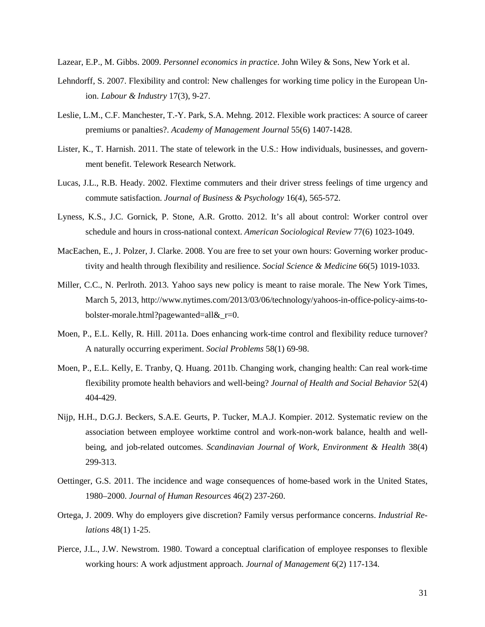Lazear, E.P., M. Gibbs. 2009. *Personnel economics in practice*. John Wiley & Sons, New York et al.

- Lehndorff, S. 2007. Flexibility and control: New challenges for working time policy in the European Union. *Labour & Industry* 17(3), 9-27.
- Leslie, L.M., C.F. Manchester, T.-Y. Park, S.A. Mehng. 2012. Flexible work practices: A source of career premiums or panalties?. *Academy of Management Journal* 55(6) 1407-1428.
- Lister, K., T. Harnish. 2011. The state of telework in the U.S.: How individuals, businesses, and government benefit. Telework Research Network.
- Lucas, J.L., R.B. Heady. 2002. Flextime commuters and their driver stress feelings of time urgency and commute satisfaction. *Journal of Business & Psychology* 16(4), 565-572.
- Lyness, K.S., J.C. Gornick, P. Stone, A.R. Grotto. 2012. It's all about control: Worker control over schedule and hours in cross-national context. *American Sociological Review* 77(6) 1023-1049.
- MacEachen, E., J. Polzer, J. Clarke. 2008. You are free to set your own hours: Governing worker productivity and health through flexibility and resilience. *Social Science & Medicine* 66(5) 1019-1033.
- Miller, C.C., N. Perlroth. 2013. Yahoo says new policy is meant to raise morale. The New York Times, March 5, 2013, http://www.nytimes.com/2013/03/06/technology/yahoos-in-office-policy-aims-tobolster-morale.html?pagewanted=all&\_r=0.
- Moen, P., E.L. Kelly, R. Hill. 2011a. Does enhancing work-time control and flexibility reduce turnover? A naturally occurring experiment. *Social Problems* 58(1) 69-98.
- Moen, P., E.L. Kelly, E. Tranby, Q. Huang. 2011b. Changing work, changing health: Can real work-time flexibility promote health behaviors and well-being? *Journal of Health and Social Behavior* 52(4) 404-429.
- Nijp, H.H., D.G.J. Beckers, S.A.E. Geurts, P. Tucker, M.A.J. Kompier. 2012. Systematic review on the association between employee worktime control and work-non-work balance, health and wellbeing, and job-related outcomes. *Scandinavian Journal of Work, Environment & Health* 38(4) 299-313.
- Oettinger, G.S. 2011. The incidence and wage consequences of home-based work in the United States, 1980–2000. *Journal of Human Resources* 46(2) 237-260.
- Ortega, J. 2009. Why do employers give discretion? Family versus performance concerns. *Industrial Relations* 48(1) 1-25.
- Pierce, J.L., J.W. Newstrom. 1980. Toward a conceptual clarification of employee responses to flexible working hours: A work adjustment approach. *Journal of Management* 6(2) 117-134.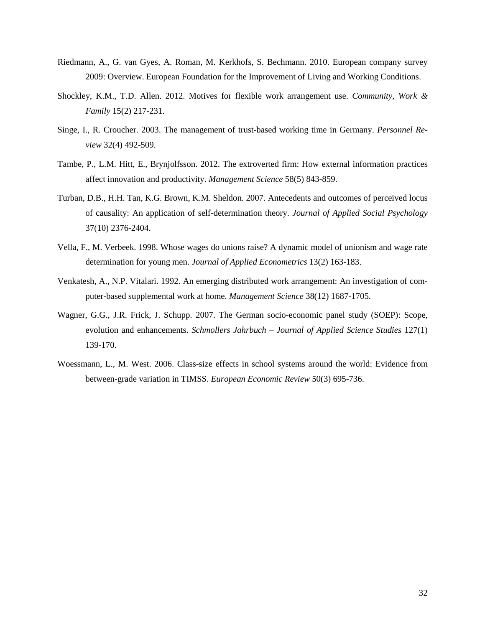- Riedmann, A., G. van Gyes, A. Roman, M. Kerkhofs, S. Bechmann. 2010. European company survey 2009: Overview. European Foundation for the Improvement of Living and Working Conditions.
- Shockley, K.M., T.D. Allen. 2012. Motives for flexible work arrangement use. *Community, Work & Family* 15(2) 217-231.
- Singe, I., R. Croucher. 2003. The management of trust-based working time in Germany. *Personnel Review* 32(4) 492-509.
- Tambe, P., L.M. Hitt, E., Brynjolfsson. 2012. The extroverted firm: How external information practices affect innovation and productivity. *Management Science* 58(5) 843-859.
- Turban, D.B., H.H. Tan, K.G. Brown, K.M. Sheldon. 2007. Antecedents and outcomes of perceived locus of causality: An application of self-determination theory. *Journal of Applied Social Psychology* 37(10) 2376-2404.
- Vella, F., M. Verbeek. 1998. Whose wages do unions raise? A dynamic model of unionism and wage rate determination for young men. *Journal of Applied Econometrics* 13(2) 163-183.
- Venkatesh, A., N.P. Vitalari. 1992. An emerging distributed work arrangement: An investigation of computer-based supplemental work at home. *Management Science* 38(12) 1687-1705.
- Wagner, G.G., J.R. Frick, J. Schupp. 2007. The German socio-economic panel study (SOEP): Scope, evolution and enhancements. *Schmollers Jahrbuch – Journal of Applied Science Studies* 127(1) 139-170.
- Woessmann, L., M. West. 2006. Class-size effects in school systems around the world: Evidence from between-grade variation in TIMSS. *European Economic Review* 50(3) 695-736.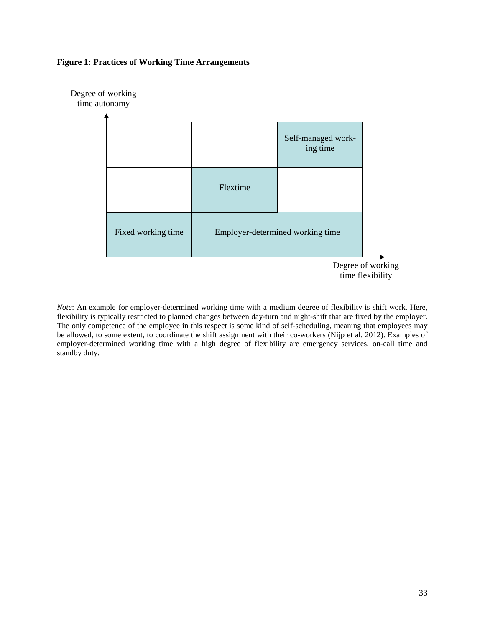## **Figure 1: Practices of Working Time Arrangements**



*Note*: An example for employer-determined working time with a medium degree of flexibility is shift work. Here, flexibility is typically restricted to planned changes between day-turn and night-shift that are fixed by the employer. The only competence of the employee in this respect is some kind of self-scheduling, meaning that employees may be allowed, to some extent, to coordinate the shift assignment with their co-workers (Nijp et al. 2012). Examples of employer-determined working time with a high degree of flexibility are emergency services, on-call time and standby duty.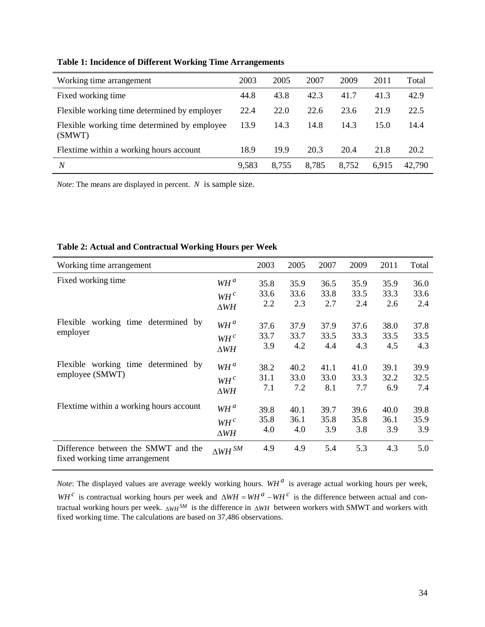| Working time arrangement                               | 2003  | 2005  | 2007  | 2009  | 2011  | Total  |
|--------------------------------------------------------|-------|-------|-------|-------|-------|--------|
| Fixed working time                                     | 44.8  | 43.8  | 42.3  | 41.7  | 41.3  | 42.9   |
| Flexible working time determined by employer           | 22.4  | 22.0  | 22.6  | 23.6  | 21.9  | 22.5   |
| Flexible working time determined by employee<br>(SMWT) | 13.9  | 14.3  | 14.8  | 14.3  | 15.0  | 14.4   |
| Flextime within a working hours account                | 18.9  | 19.9  | 20.3  | 20.4  | 21.8  | 20.2   |
| N                                                      | 9,583 | 8.755 | 8,785 | 8,752 | 6,915 | 42,790 |

# **Table 1: Incidence of Different Working Time Arrangements**

*Note*: The means are displayed in percent. *N* is sample size.

| Working time arrangement                                              |                        | 2003 | 2005 | 2007 | 2009 | 2011 | Total |
|-----------------------------------------------------------------------|------------------------|------|------|------|------|------|-------|
| Fixed working time                                                    | $WH^a$                 | 35.8 | 35.9 | 36.5 | 35.9 | 35.9 | 36.0  |
|                                                                       | $WH^c$                 | 33.6 | 33.6 | 33.8 | 33.5 | 33.3 | 33.6  |
|                                                                       | $\Delta WH$            | 2.2  | 2.3  | 2.7  | 2.4  | 2.6  | 2.4   |
| Flexible working time determined by                                   | $WH^a$                 | 37.6 | 37.9 | 37.9 | 37.6 | 38.0 | 37.8  |
| employer                                                              | $WH$ <sup>c</sup>      | 33.7 | 33.7 | 33.5 | 33.3 | 33.5 | 33.5  |
|                                                                       | $\triangle WH$         | 3.9  | 4.2  | 4.4  | 4.3  | 4.5  | 4.3   |
| Flexible working time determined by                                   | $WH^a$                 | 38.2 | 40.2 | 41.1 | 41.0 | 39.1 | 39.9  |
| employee (SMWT)                                                       | $WH$ <sup>c</sup>      | 31.1 | 33.0 | 33.0 | 33.3 | 32.2 | 32.5  |
|                                                                       | $\triangle WH$         | 7.1  | 7.2  | 8.1  | 7.7  | 6.9  | 7.4   |
| Flextime within a working hours account                               | $WH^a$                 | 39.8 | 40.1 | 39.7 | 39.6 | 40.0 | 39.8  |
|                                                                       | $WH$ <sup>c</sup>      | 35.8 | 36.1 | 35.8 | 35.8 | 36.1 | 35.9  |
|                                                                       | $\Delta WH$            | 4.0  | 4.0  | 3.9  | 3.8  | 3.9  | 3.9   |
| Difference between the SMWT and the<br>fixed working time arrangement | $\Delta W\!H\,{}^{SM}$ | 4.9  | 4.9  | 5.4  | 5.3  | 4.3  | 5.0   |

# **Table 2: Actual and Contractual Working Hours per Week**

*Note*: The displayed values are average weekly working hours.  $WH^a$  is average actual working hours per week, *WH* <sup>*c*</sup> is contractual working hours per week and  $\Delta WH = WH^a - WH^c$  is the difference between actual and contractual working hours per week. <sub>△WH</sub><sup>SM</sup> is the difference in ∆*WH* between workers with SMWT and workers with fixed working time. The calculations are based on 37,486 observations.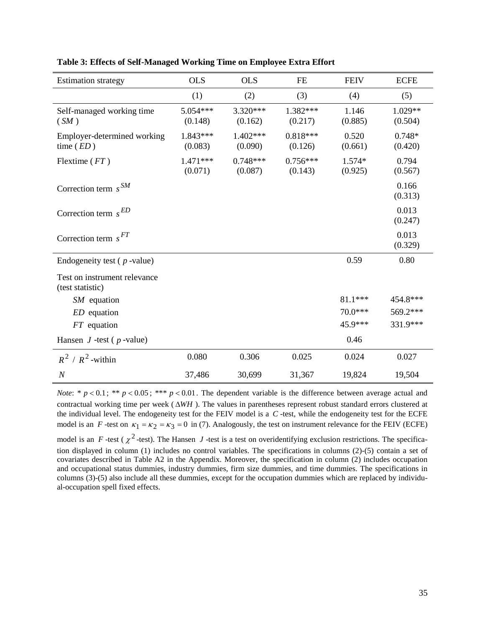| <b>Estimation strategy</b>                       | <b>OLS</b>            | <b>OLS</b>            | <b>FE</b>             | <b>FEIV</b>       | <b>ECFE</b>          |
|--------------------------------------------------|-----------------------|-----------------------|-----------------------|-------------------|----------------------|
|                                                  | (1)                   | (2)                   | (3)                   | (4)               | (5)                  |
| Self-managed working time<br>(SM)                | 5.054***<br>(0.148)   | 3.320***<br>(0.162)   | 1.382***<br>(0.217)   | 1.146<br>(0.885)  | $1.029**$<br>(0.504) |
| Employer-determined working<br>time $(ED)$       | $1.843***$<br>(0.083) | $1.402***$<br>(0.090) | $0.818***$<br>(0.126) | 0.520<br>(0.661)  | $0.748*$<br>(0.420)  |
| Flextime $(FT)$                                  | $1.471***$<br>(0.071) | $0.748***$<br>(0.087) | $0.756***$<br>(0.143) | 1.574*<br>(0.925) | 0.794<br>(0.567)     |
| Correction term $s^{SM}$                         |                       |                       |                       |                   | 0.166<br>(0.313)     |
| Correction term $s^{ED}$                         |                       |                       |                       |                   | 0.013<br>(0.247)     |
| Correction term $s^{FT}$                         |                       |                       |                       |                   | 0.013<br>(0.329)     |
| Endogeneity test ( $p$ -value)                   |                       |                       |                       | 0.59              | 0.80                 |
| Test on instrument relevance<br>(test statistic) |                       |                       |                       |                   |                      |
| $SM$ equation                                    |                       |                       |                       | $81.1***$         | 454.8***             |
| $ED$ equation                                    |                       |                       |                       | $70.0***$         | 569.2***             |
| $FT$ equation                                    |                       |                       |                       | 45.9***           | 331.9***             |
| Hansen $J$ -test ( $p$ -value)                   |                       |                       |                       | 0.46              |                      |
| $R^2/R^2$ -within                                | 0.080                 | 0.306                 | 0.025                 | 0.024             | 0.027                |
| $\boldsymbol{N}$                                 | 37,486                | 30,699                | 31,367                | 19,824            | 19,504               |

**Table 3: Effects of Self-Managed Working Time on Employee Extra Effort**

*Note*: \*  $p < 0.1$ ; \*\*  $p < 0.05$ ; \*\*\*  $p < 0.01$ . The dependent variable is the difference between average actual and contractual working time per week ( ∆*WH* ). The values in parentheses represent robust standard errors clustered at the individual level. The endogeneity test for the FEIV model is a *C* -test, while the endogeneity test for the ECFE model is an *F* -test on  $\kappa_1 = \kappa_2 = \kappa_3 = 0$  in (7). Analogously, the test on instrument relevance for the FEIV (ECFE) model is an *F* -test ( $\chi^2$ -test). The Hansen *J* -test is a test on overidentifying exclusion restrictions. The specification displayed in column (1) includes no control variables. The specifications in columns (2)-(5) contain a set of covariates described in Table A2 in the Appendix. Moreover, the specification in column (2) includes occupation and occupational status dummies, industry dummies, firm size dummies, and time dummies. The specifications in columns (3)-(5) also include all these dummies, except for the occupation dummies which are replaced by individual-occupation spell fixed effects.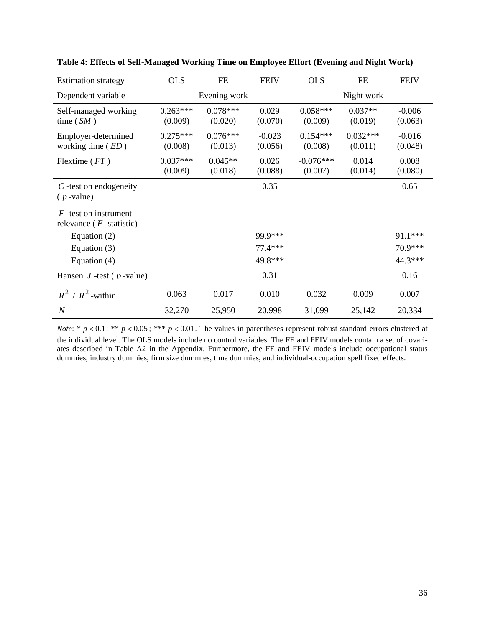| <b>Estimation strategy</b>                             | <b>OLS</b>            | <b>FE</b>             | <b>FEIV</b>         | <b>OLS</b>             | <b>FE</b>             | <b>FEIV</b>         |
|--------------------------------------------------------|-----------------------|-----------------------|---------------------|------------------------|-----------------------|---------------------|
| Dependent variable                                     |                       | Evening work          |                     |                        | Night work            |                     |
| Self-managed working<br>time $(SM)$                    | $0.263***$<br>(0.009) | $0.078***$<br>(0.020) | 0.029<br>(0.070)    | $0.058***$<br>(0.009)  | $0.037**$<br>(0.019)  | $-0.006$<br>(0.063) |
| Employer-determined<br>working time $(ED)$             | $0.275***$<br>(0.008) | $0.076***$<br>(0.013) | $-0.023$<br>(0.056) | $0.154***$<br>(0.008)  | $0.032***$<br>(0.011) | $-0.016$<br>(0.048) |
| Flextime $(FT)$                                        | $0.037***$<br>(0.009) | $0.045**$<br>(0.018)  | 0.026<br>(0.088)    | $-0.076***$<br>(0.007) | 0.014<br>(0.014)      | 0.008<br>(0.080)    |
| $C$ -test on endogeneity<br>$(p$ -value)               |                       |                       | 0.35                |                        |                       | 0.65                |
| $F$ -test on instrument<br>relevance ( $F$ -statistic) |                       |                       |                     |                        |                       |                     |
| Equation $(2)$                                         |                       |                       | 99.9***             |                        |                       | 91.1***             |
| Equation $(3)$                                         |                       |                       | 77.4 ***            |                        |                       | 70.9***             |
| Equation $(4)$                                         |                       |                       | 49.8***             |                        |                       | 44.3***             |
| Hansen $J$ -test ( $p$ -value)                         |                       |                       | 0.31                |                        |                       | 0.16                |
| $R^2/R^2$ -within                                      | 0.063                 | 0.017                 | 0.010               | 0.032                  | 0.009                 | 0.007               |
| $\boldsymbol{N}$                                       | 32,270                | 25,950                | 20,998              | 31,099                 | 25,142                | 20,334              |

**Table 4: Effects of Self-Managed Working Time on Employee Effort (Evening and Night Work)**

*Note*: \*  $p < 0.1$ ; \*\*  $p < 0.05$ ; \*\*\*  $p < 0.01$ . The values in parentheses represent robust standard errors clustered at the individual level. The OLS models include no control variables. The FE and FEIV models contain a set of covariates described in Table A2 in the Appendix. Furthermore, the FE and FEIV models include occupational status dummies, industry dummies, firm size dummies, time dummies, and individual-occupation spell fixed effects.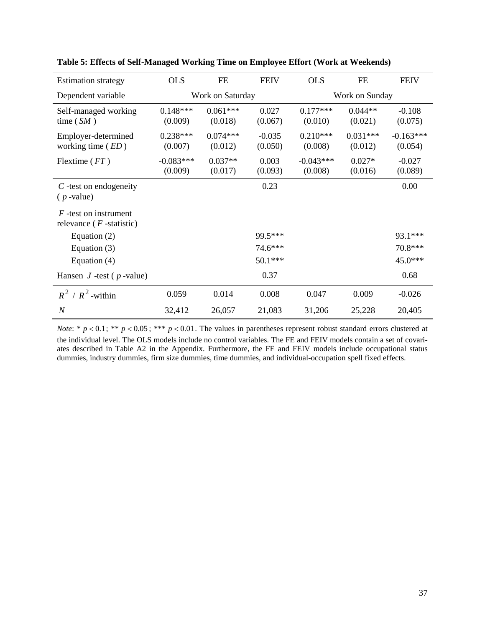| <b>Estimation strategy</b>                            | <b>OLS</b>             | <b>FE</b>             | <b>FEIV</b>         | <b>OLS</b>             | <b>FE</b>             | <b>FEIV</b>            |
|-------------------------------------------------------|------------------------|-----------------------|---------------------|------------------------|-----------------------|------------------------|
| Dependent variable                                    |                        | Work on Saturday      |                     |                        | Work on Sunday        |                        |
| Self-managed working<br>time $(SM)$                   | $0.148***$<br>(0.009)  | $0.061***$<br>(0.018) | 0.027<br>(0.067)    | $0.177***$<br>(0.010)  | $0.044**$<br>(0.021)  | $-0.108$<br>(0.075)    |
| Employer-determined<br>working time $(ED)$            | $0.238***$<br>(0.007)  | $0.074***$<br>(0.012) | $-0.035$<br>(0.050) | $0.210***$<br>(0.008)  | $0.031***$<br>(0.012) | $-0.163***$<br>(0.054) |
| Flextime $(FT)$                                       | $-0.083***$<br>(0.009) | $0.037**$<br>(0.017)  | 0.003<br>(0.093)    | $-0.043***$<br>(0.008) | $0.027*$<br>(0.016)   | $-0.027$<br>(0.089)    |
| $C$ -test on endogeneity<br>$(p$ -value)              |                        |                       | 0.23                |                        |                       | 0.00                   |
| $F$ -test on instrument<br>relevance $(F$ -statistic) |                        |                       |                     |                        |                       |                        |
| Equation $(2)$                                        |                        |                       | 99.5***             |                        |                       | 93.1***                |
| Equation $(3)$                                        |                        |                       | 74.6***             |                        |                       | 70.8***                |
| Equation $(4)$                                        |                        |                       | $50.1***$           |                        |                       | 45.0***                |
| Hansen $J$ -test ( $p$ -value)                        |                        |                       | 0.37                |                        |                       | 0.68                   |
| $R^2/R^2$ -within                                     | 0.059                  | 0.014                 | 0.008               | 0.047                  | 0.009                 | $-0.026$               |
| $\boldsymbol{N}$                                      | 32,412                 | 26,057                | 21,083              | 31,206                 | 25,228                | 20,405                 |

**Table 5: Effects of Self-Managed Working Time on Employee Effort (Work at Weekends)**

*Note*: \*  $p < 0.1$ ; \*\*  $p < 0.05$ ; \*\*\*  $p < 0.01$ . The values in parentheses represent robust standard errors clustered at the individual level. The OLS models include no control variables. The FE and FEIV models contain a set of covariates described in Table A2 in the Appendix. Furthermore, the FE and FEIV models include occupational status dummies, industry dummies, firm size dummies, time dummies, and individual-occupation spell fixed effects.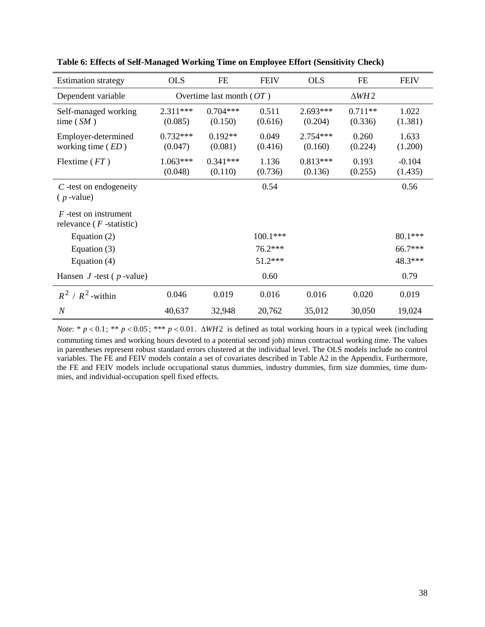| <b>Estimation strategy</b>                            | <b>OLS</b>            | <b>FE</b>                  | <b>FEIV</b>      | <b>OLS</b>            | <b>FE</b>            | <b>FEIV</b>         |
|-------------------------------------------------------|-----------------------|----------------------------|------------------|-----------------------|----------------------|---------------------|
| Dependent variable                                    |                       | Overtime last month $(OT)$ |                  |                       | $\triangle WH2$      |                     |
| Self-managed working<br>time $(SM)$                   | $2.311***$<br>(0.085) | $0.704***$<br>(0.150)      | 0.511<br>(0.616) | $2.693***$<br>(0.204) | $0.711**$<br>(0.336) | 1.022<br>(1.381)    |
| Employer-determined<br>working time $(ED)$            | $0.732***$<br>(0.047) | $0.192**$<br>(0.081)       | 0.049<br>(0.416) | $2.754***$<br>(0.160) | 0.260<br>(0.224)     | 1.633<br>(1.200)    |
| Flextime $(FT)$                                       | $1.063***$<br>(0.048) | $0.341***$<br>(0.110)      | 1.136<br>(0.736) | $0.813***$<br>(0.136) | 0.193<br>(0.255)     | $-0.104$<br>(1.435) |
| $C$ -test on endogeneity<br>$(p$ -value)              |                       |                            | 0.54             |                       |                      | 0.56                |
| $F$ -test on instrument<br>relevance $(F$ -statistic) |                       |                            |                  |                       |                      |                     |
| Equation $(2)$                                        |                       |                            | $100.1***$       |                       |                      | 80.1***             |
| Equation $(3)$                                        |                       |                            | $76.2***$        |                       |                      | 66.7***             |
| Equation (4)                                          |                       |                            | 51.2***          |                       |                      | 48.3***             |
| Hansen $J$ -test ( $p$ -value)                        |                       |                            | 0.60             |                       |                      | 0.79                |
| $R^2/R^2$ -within                                     | 0.046                 | 0.019                      | 0.016            | 0.016                 | 0.020                | 0.019               |
| $\boldsymbol{N}$                                      | 40,637                | 32,948                     | 20,762           | 35,012                | 30,050               | 19,024              |

**Table 6: Effects of Self-Managed Working Time on Employee Effort (Sensitivity Check)**

*Note*: \* *p* < 0.1; \*\* *p* < 0.05 ; \*\*\* *p* < 0.01. ∆*WH*2 is defined as total working hours in a typical week (including commuting times and working hours devoted to a potential second job) minus contractual working time. The values in parentheses represent robust standard errors clustered at the individual level. The OLS models include no control variables. The FE and FEIV models contain a set of covariates described in Table A2 in the Appendix. Furthermore, the FE and FEIV models include occupational status dummies, industry dummies, firm size dummies, time dummies, and individual-occupation spell fixed effects.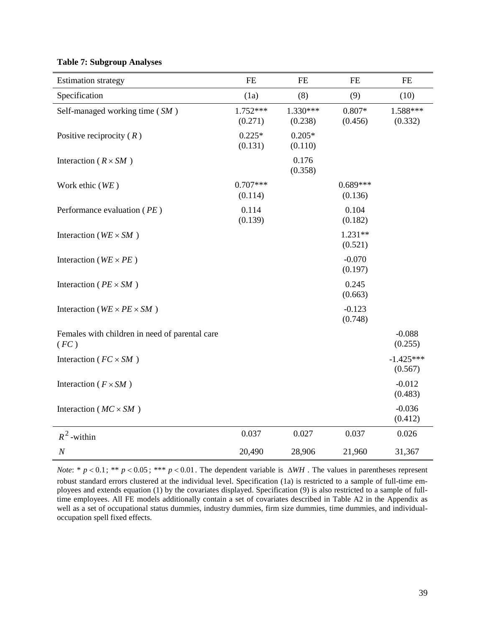# **Table 7: Subgroup Analyses**

| <b>Estimation strategy</b>                             | $\rm FE$              | $FE$                | FE                    | $\rm FE$               |
|--------------------------------------------------------|-----------------------|---------------------|-----------------------|------------------------|
| Specification                                          | (1a)                  | (8)                 | (9)                   | (10)                   |
| Self-managed working time (SM)                         | $1.752***$<br>(0.271) | 1.330***<br>(0.238) | $0.807*$<br>(0.456)   | 1.588***<br>(0.332)    |
| Positive reciprocity $(R)$                             | $0.225*$<br>(0.131)   | $0.205*$<br>(0.110) |                       |                        |
| Interaction ( $R \times SM$ )                          |                       | 0.176<br>(0.358)    |                       |                        |
| Work ethic (WE)                                        | $0.707***$<br>(0.114) |                     | $0.689***$<br>(0.136) |                        |
| Performance evaluation (PE)                            | 0.114<br>(0.139)      |                     | 0.104<br>(0.182)      |                        |
| Interaction ( $WE \times SM$ )                         |                       |                     | $1.231**$<br>(0.521)  |                        |
| Interaction ( $WE \times PE$ )                         |                       |                     | $-0.070$<br>(0.197)   |                        |
| Interaction ( $PE \times SM$ )                         |                       |                     | 0.245<br>(0.663)      |                        |
| Interaction ( $WE \times PE \times SM$ )               |                       |                     | $-0.123$<br>(0.748)   |                        |
| Females with children in need of parental care<br>(FC) |                       |                     |                       | $-0.088$<br>(0.255)    |
| Interaction ( $FC \times SM$ )                         |                       |                     |                       | $-1.425***$<br>(0.567) |
| Interaction ( $F \times SM$ )                          |                       |                     |                       | $-0.012$<br>(0.483)    |
| Interaction ( $MC \times SM$ )                         |                       |                     |                       | $-0.036$<br>(0.412)    |
| $R^2$ -within                                          | 0.037                 | 0.027               | 0.037                 | 0.026                  |
| $\cal N$                                               | 20,490                | 28,906              | 21,960                | 31,367                 |

*Note*: \* *p* < 0.1; \*\* *p* < 0.05; \*\*\* *p* < 0.01. The dependent variable is ∆*WH*. The values in parentheses represent robust standard errors clustered at the individual level. Specification (1a) is restricted to a sample of full-time employees and extends equation (1) by the covariates displayed. Specification (9) is also restricted to a sample of fulltime employees. All FE models additionally contain a set of covariates described in Table A2 in the Appendix as well as a set of occupational status dummies, industry dummies, firm size dummies, time dummies, and individualoccupation spell fixed effects.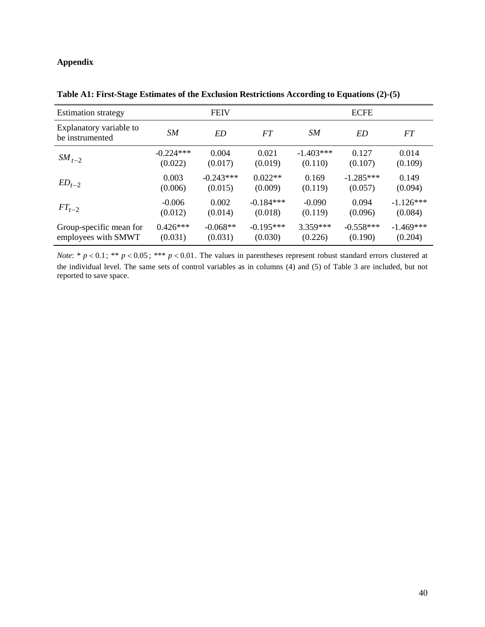# **Appendix**

| <b>Estimation strategy</b>                 |             | <b>FEIV</b> |             |             | <b>ECFE</b> |             |
|--------------------------------------------|-------------|-------------|-------------|-------------|-------------|-------------|
| Explanatory variable to<br>be instrumented | SМ          | <b>ED</b>   | FT          | SМ          | ED          | FT          |
| $SM_{t-2}$                                 | $-0.224***$ | 0.004       | 0.021       | $-1.403***$ | 0.127       | 0.014       |
|                                            | (0.022)     | (0.017)     | (0.019)     | (0.110)     | (0.107)     | (0.109)     |
| $ED_{t-2}$                                 | 0.003       | $-0.243***$ | $0.022**$   | 0.169       | $-1.285***$ | 0.149       |
|                                            | (0.006)     | (0.015)     | (0.009)     | (0.119)     | (0.057)     | (0.094)     |
| $FT_{t-2}$                                 | $-0.006$    | 0.002       | $-0.184***$ | $-0.090$    | 0.094       | $-1.126***$ |
|                                            | (0.012)     | (0.014)     | (0.018)     | (0.119)     | (0.096)     | (0.084)     |
| Group-specific mean for                    | $0.426***$  | $-0.068**$  | $-0.195***$ | 3.359***    | $-0.558***$ | $-1.469***$ |
| employees with SMWT                        | (0.031)     | (0.031)     | (0.030)     | (0.226)     | (0.190)     | (0.204)     |

**Table A1: First-Stage Estimates of the Exclusion Restrictions According to Equations (2)-(5)**

*Note*: \*  $p < 0.1$ ; \*\*  $p < 0.05$ ; \*\*\*  $p < 0.01$ . The values in parentheses represent robust standard errors clustered at the individual level. The same sets of control variables as in columns (4) and (5) of Table 3 are included, but not reported to save space.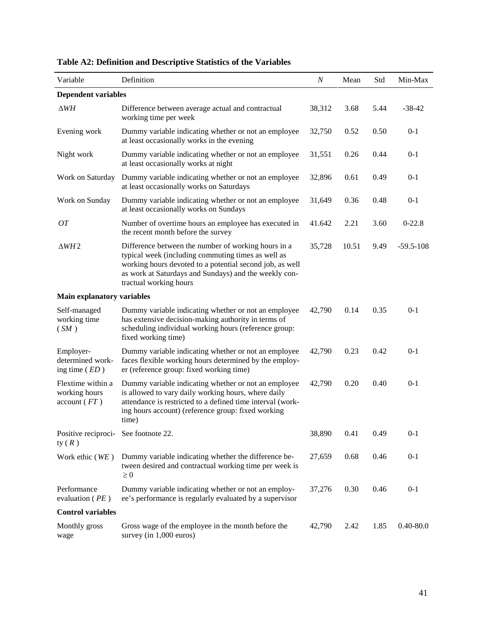| Variable                                          | Definition                                                                                                                                                                                                                                               | N      | Mean  | Std  | Min-Max       |
|---------------------------------------------------|----------------------------------------------------------------------------------------------------------------------------------------------------------------------------------------------------------------------------------------------------------|--------|-------|------|---------------|
| <b>Dependent variables</b>                        |                                                                                                                                                                                                                                                          |        |       |      |               |
| $\Delta WH$                                       | Difference between average actual and contractual<br>working time per week                                                                                                                                                                               | 38,312 | 3.68  | 5.44 | $-38-42$      |
| Evening work                                      | Dummy variable indicating whether or not an employee<br>at least occasionally works in the evening                                                                                                                                                       | 32,750 | 0.52  | 0.50 | $0 - 1$       |
| Night work                                        | Dummy variable indicating whether or not an employee<br>at least occasionally works at night                                                                                                                                                             | 31,551 | 0.26  | 0.44 | $0 - 1$       |
| Work on Saturday                                  | Dummy variable indicating whether or not an employee<br>at least occasionally works on Saturdays                                                                                                                                                         | 32,896 | 0.61  | 0.49 | $0 - 1$       |
| Work on Sunday                                    | Dummy variable indicating whether or not an employee<br>at least occasionally works on Sundays                                                                                                                                                           | 31,649 | 0.36  | 0.48 | $0 - 1$       |
| <b>OT</b>                                         | Number of overtime hours an employee has executed in<br>the recent month before the survey                                                                                                                                                               | 41.642 | 2.21  | 3.60 | $0-22.8$      |
| $\triangle WH2$                                   | Difference between the number of working hours in a<br>typical week (including commuting times as well as<br>working hours devoted to a potential second job, as well<br>as work at Saturdays and Sundays) and the weekly con-<br>tractual working hours | 35,728 | 10.51 | 9.49 | $-59.5-108$   |
| <b>Main explanatory variables</b>                 |                                                                                                                                                                                                                                                          |        |       |      |               |
| Self-managed<br>working time<br>(SM)              | Dummy variable indicating whether or not an employee<br>has extensive decision-making authority in terms of<br>scheduling individual working hours (reference group:<br>fixed working time)                                                              | 42,790 | 0.14  | 0.35 | $0-1$         |
| Employer-<br>determined work-<br>ing time $(ED)$  | Dummy variable indicating whether or not an employee<br>faces flexible working hours determined by the employ-<br>er (reference group: fixed working time)                                                                                               | 42,790 | 0.23  | 0.42 | $0-1$         |
| Flextime within a<br>working hours<br>account(FT) | Dummy variable indicating whether or not an employee<br>is allowed to vary daily working hours, where daily<br>attendance is restricted to a defined time interval (work-<br>ing hours account) (reference group: fixed working<br>time)                 | 42,790 | 0.20  | 0.40 | $0 - 1$       |
| Positive reciproci- See footnote 22.<br>ty $(R)$  |                                                                                                                                                                                                                                                          | 38,890 | 0.41  | 0.49 | $0 - 1$       |
| Work ethic (WE)                                   | Dummy variable indicating whether the difference be-<br>tween desired and contractual working time per week is<br>$\geq 0$                                                                                                                               | 27,659 | 0.68  | 0.46 | $0 - 1$       |
| Performance<br>evaluation ( $PE$ )                | Dummy variable indicating whether or not an employ-<br>ee's performance is regularly evaluated by a supervisor                                                                                                                                           | 37,276 | 0.30  | 0.46 | $0 - 1$       |
| <b>Control variables</b>                          |                                                                                                                                                                                                                                                          |        |       |      |               |
| Monthly gross<br>wage                             | Gross wage of the employee in the month before the<br>survey (in 1,000 euros)                                                                                                                                                                            | 42,790 | 2.42  | 1.85 | $0.40 - 80.0$ |

# **Table A2: Definition and Descriptive Statistics of the Variables**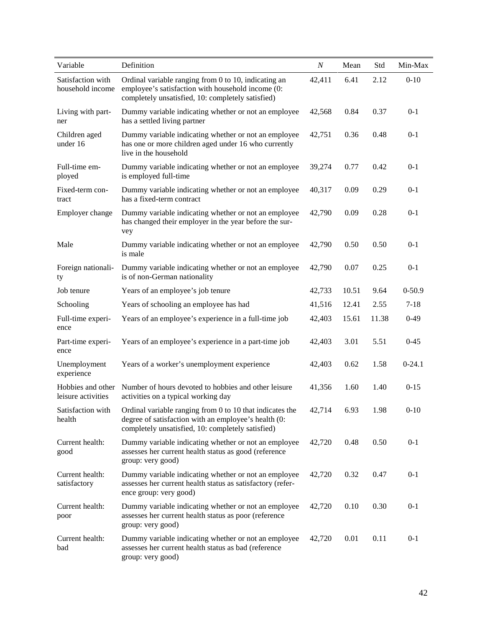| Variable                                | Definition                                                                                                                                                                              | $\boldsymbol{N}$ | Mean  | Std   | Min-Max    |
|-----------------------------------------|-----------------------------------------------------------------------------------------------------------------------------------------------------------------------------------------|------------------|-------|-------|------------|
| Satisfaction with<br>household income   | Ordinal variable ranging from 0 to 10, indicating an<br>employee's satisfaction with household income (0:<br>completely unsatisfied, 10: completely satisfied)                          | 42,411           | 6.41  | 2.12  | $0-10$     |
| Living with part-<br>ner                | Dummy variable indicating whether or not an employee<br>has a settled living partner                                                                                                    | 42,568           | 0.84  | 0.37  | $0 - 1$    |
| Children aged<br>under 16               | Dummy variable indicating whether or not an employee<br>has one or more children aged under 16 who currently<br>live in the household                                                   | 42,751           | 0.36  | 0.48  | $0 - 1$    |
| Full-time em-<br>ployed                 | Dummy variable indicating whether or not an employee<br>is employed full-time                                                                                                           | 39,274           | 0.77  | 0.42  | $0 - 1$    |
| Fixed-term con-<br>tract                | Dummy variable indicating whether or not an employee<br>has a fixed-term contract                                                                                                       | 40,317           | 0.09  | 0.29  | $0 - 1$    |
| Employer change                         | Dummy variable indicating whether or not an employee<br>has changed their employer in the year before the sur-<br>vey                                                                   | 42,790           | 0.09  | 0.28  | $0 - 1$    |
| Male                                    | Dummy variable indicating whether or not an employee<br>is male                                                                                                                         | 42,790           | 0.50  | 0.50  | $0 - 1$    |
| Foreign nationali-<br>ty                | Dummy variable indicating whether or not an employee<br>is of non-German nationality                                                                                                    | 42,790           | 0.07  | 0.25  | $0 - 1$    |
| Job tenure                              | Years of an employee's job tenure                                                                                                                                                       | 42,733           | 10.51 | 9.64  | $0 - 50.9$ |
| Schooling                               | Years of schooling an employee has had                                                                                                                                                  | 41,516           | 12.41 | 2.55  | $7 - 18$   |
| Full-time experi-<br>ence               | Years of an employee's experience in a full-time job                                                                                                                                    | 42,403           | 15.61 | 11.38 | $0-49$     |
| Part-time experi-<br>ence               | Years of an employee's experience in a part-time job                                                                                                                                    | 42,403           | 3.01  | 5.51  | $0 - 45$   |
| Unemployment<br>experience              | Years of a worker's unemployment experience                                                                                                                                             | 42,403           | 0.62  | 1.58  | $0-24.1$   |
| Hobbies and other<br>leisure activities | Number of hours devoted to hobbies and other leisure<br>activities on a typical working day                                                                                             | 41,356           | 1.60  | 1.40  | $0 - 15$   |
| health                                  | Satisfaction with Ordinal variable ranging from 0 to 10 that indicates the<br>degree of satisfaction with an employee's health (0:<br>completely unsatisfied, 10: completely satisfied) | 42,714           | 6.93  | 1.98  | $0 - 10$   |
| Current health:<br>good                 | Dummy variable indicating whether or not an employee<br>assesses her current health status as good (reference<br>group: very good)                                                      | 42,720           | 0.48  | 0.50  | $0 - 1$    |
| Current health:<br>satisfactory         | Dummy variable indicating whether or not an employee<br>assesses her current health status as satisfactory (refer-<br>ence group: very good)                                            | 42,720           | 0.32  | 0.47  | $0 - 1$    |
| Current health:<br>poor                 | Dummy variable indicating whether or not an employee<br>assesses her current health status as poor (reference<br>group: very good)                                                      | 42,720           | 0.10  | 0.30  | $0 - 1$    |
| Current health:<br>bad                  | Dummy variable indicating whether or not an employee<br>assesses her current health status as bad (reference<br>group: very good)                                                       | 42,720           | 0.01  | 0.11  | $0 - 1$    |